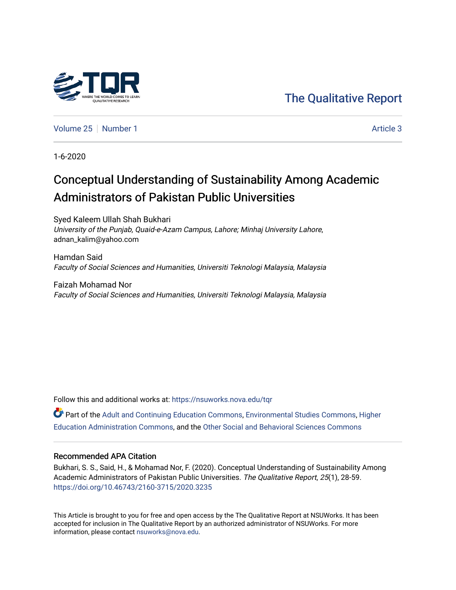# [The Qualitative Report](https://nsuworks.nova.edu/tqr)

[Volume 25](https://nsuworks.nova.edu/tqr/vol25) [Number 1](https://nsuworks.nova.edu/tqr/vol25/iss1) Article 3

1-6-2020

# Conceptual Understanding of Sustainability Among Academic Administrators of Pakistan Public Universities

Syed Kaleem Ullah Shah Bukhari University of the Punjab, Quaid-e-Azam Campus, Lahore; Minhaj University Lahore, adnan\_kalim@yahoo.com

Hamdan Said Faculty of Social Sciences and Humanities, Universiti Teknologi Malaysia, Malaysia

Faizah Mohamad Nor Faculty of Social Sciences and Humanities, Universiti Teknologi Malaysia, Malaysia

Follow this and additional works at: [https://nsuworks.nova.edu/tqr](https://nsuworks.nova.edu/tqr?utm_source=nsuworks.nova.edu%2Ftqr%2Fvol25%2Fiss1%2F3&utm_medium=PDF&utm_campaign=PDFCoverPages) 

Part of the [Adult and Continuing Education Commons,](http://network.bepress.com/hgg/discipline/1375?utm_source=nsuworks.nova.edu%2Ftqr%2Fvol25%2Fiss1%2F3&utm_medium=PDF&utm_campaign=PDFCoverPages) [Environmental Studies Commons,](http://network.bepress.com/hgg/discipline/1333?utm_source=nsuworks.nova.edu%2Ftqr%2Fvol25%2Fiss1%2F3&utm_medium=PDF&utm_campaign=PDFCoverPages) [Higher](http://network.bepress.com/hgg/discipline/791?utm_source=nsuworks.nova.edu%2Ftqr%2Fvol25%2Fiss1%2F3&utm_medium=PDF&utm_campaign=PDFCoverPages)  [Education Administration Commons,](http://network.bepress.com/hgg/discipline/791?utm_source=nsuworks.nova.edu%2Ftqr%2Fvol25%2Fiss1%2F3&utm_medium=PDF&utm_campaign=PDFCoverPages) and the [Other Social and Behavioral Sciences Commons](http://network.bepress.com/hgg/discipline/437?utm_source=nsuworks.nova.edu%2Ftqr%2Fvol25%2Fiss1%2F3&utm_medium=PDF&utm_campaign=PDFCoverPages) 

#### Recommended APA Citation

Bukhari, S. S., Said, H., & Mohamad Nor, F. (2020). Conceptual Understanding of Sustainability Among Academic Administrators of Pakistan Public Universities. The Qualitative Report, 25(1), 28-59. <https://doi.org/10.46743/2160-3715/2020.3235>

This Article is brought to you for free and open access by the The Qualitative Report at NSUWorks. It has been accepted for inclusion in The Qualitative Report by an authorized administrator of NSUWorks. For more information, please contact [nsuworks@nova.edu.](mailto:nsuworks@nova.edu)

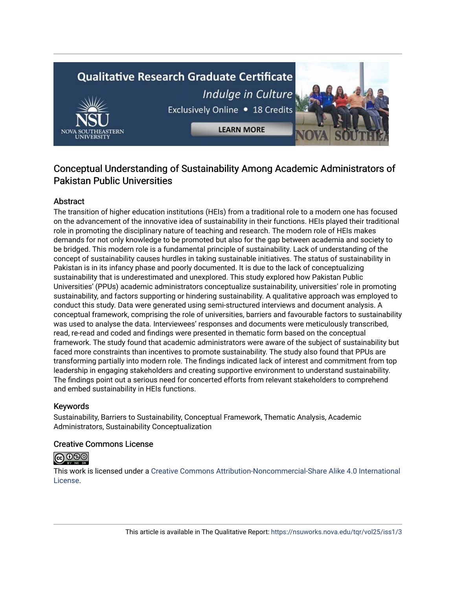# **Qualitative Research Graduate Certificate** Indulge in Culture Exclusively Online . 18 Credits





## Conceptual Understanding of Sustainability Among Academic Administrators of Pakistan Public Universities

**LEARN MORE** 

## **Abstract**

The transition of higher education institutions (HEIs) from a traditional role to a modern one has focused on the advancement of the innovative idea of sustainability in their functions. HEIs played their traditional role in promoting the disciplinary nature of teaching and research. The modern role of HEIs makes demands for not only knowledge to be promoted but also for the gap between academia and society to be bridged. This modern role is a fundamental principle of sustainability. Lack of understanding of the concept of sustainability causes hurdles in taking sustainable initiatives. The status of sustainability in Pakistan is in its infancy phase and poorly documented. It is due to the lack of conceptualizing sustainability that is underestimated and unexplored. This study explored how Pakistan Public Universities' (PPUs) academic administrators conceptualize sustainability, universities' role in promoting sustainability, and factors supporting or hindering sustainability. A qualitative approach was employed to conduct this study. Data were generated using semi-structured interviews and document analysis. A conceptual framework, comprising the role of universities, barriers and favourable factors to sustainability was used to analyse the data. Interviewees' responses and documents were meticulously transcribed, read, re-read and coded and findings were presented in thematic form based on the conceptual framework. The study found that academic administrators were aware of the subject of sustainability but faced more constraints than incentives to promote sustainability. The study also found that PPUs are transforming partially into modern role. The findings indicated lack of interest and commitment from top leadership in engaging stakeholders and creating supportive environment to understand sustainability. The findings point out a serious need for concerted efforts from relevant stakeholders to comprehend and embed sustainability in HEIs functions.

## Keywords

Sustainability, Barriers to Sustainability, Conceptual Framework, Thematic Analysis, Academic Administrators, Sustainability Conceptualization

## Creative Commons License



This work is licensed under a [Creative Commons Attribution-Noncommercial-Share Alike 4.0 International](https://creativecommons.org/licenses/by-nc-sa/4.0/)  [License](https://creativecommons.org/licenses/by-nc-sa/4.0/).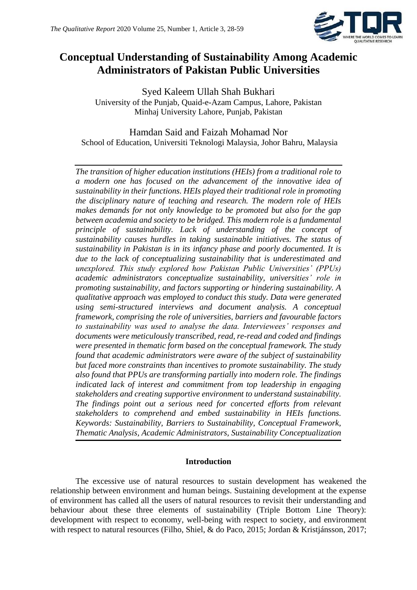

## **Conceptual Understanding of Sustainability Among Academic Administrators of Pakistan Public Universities**

Syed Kaleem Ullah Shah Bukhari University of the Punjab, Quaid-e-Azam Campus, Lahore, Pakistan Minhaj University Lahore, Punjab, Pakistan

## Hamdan Said and Faizah Mohamad Nor School of Education, Universiti Teknologi Malaysia, Johor Bahru, Malaysia

*The transition of higher education institutions (HEIs) from a traditional role to a modern one has focused on the advancement of the innovative idea of sustainability in their functions. HEIs played their traditional role in promoting the disciplinary nature of teaching and research. The modern role of HEIs makes demands for not only knowledge to be promoted but also for the gap between academia and society to be bridged. This modern role is a fundamental principle of sustainability. Lack of understanding of the concept of sustainability causes hurdles in taking sustainable initiatives. The status of sustainability in Pakistan is in its infancy phase and poorly documented. It is due to the lack of conceptualizing sustainability that is underestimated and unexplored. This study explored how Pakistan Public Universities' (PPUs) academic administrators conceptualize sustainability, universities' role in promoting sustainability, and factors supporting or hindering sustainability. A qualitative approach was employed to conduct this study. Data were generated using semi-structured interviews and document analysis. A conceptual framework, comprising the role of universities, barriers and favourable factors to sustainability was used to analyse the data. Interviewees' responses and documents were meticulously transcribed, read, re-read and coded and findings were presented in thematic form based on the conceptual framework. The study found that academic administrators were aware of the subject of sustainability but faced more constraints than incentives to promote sustainability. The study also found that PPUs are transforming partially into modern role. The findings indicated lack of interest and commitment from top leadership in engaging stakeholders and creating supportive environment to understand sustainability. The findings point out a serious need for concerted efforts from relevant stakeholders to comprehend and embed sustainability in HEIs functions. Keywords: Sustainability, Barriers to Sustainability, Conceptual Framework, Thematic Analysis, Academic Administrators, Sustainability Conceptualization*

## **Introduction**

The excessive use of natural resources to sustain development has weakened the relationship between environment and human beings. Sustaining development at the expense of environment has called all the users of natural resources to revisit their understanding and behaviour about these three elements of sustainability (Triple Bottom Line Theory): development with respect to economy, well-being with respect to society, and environment with respect to natural resources (Filho, Shiel, & do Paco, 2015; Jordan & Kristjánsson, 2017;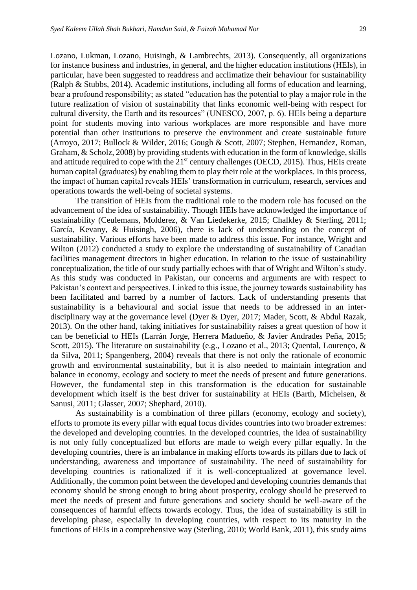Lozano, Lukman, Lozano, Huisingh, & Lambrechts, 2013). Consequently, all organizations for instance business and industries, in general, and the higher education institutions (HEIs), in particular, have been suggested to readdress and acclimatize their behaviour for sustainability (Ralph & Stubbs, 2014). Academic institutions, including all forms of education and learning, bear a profound responsibility; as stated "education has the potential to play a major role in the future realization of vision of sustainability that links economic well-being with respect for cultural diversity, the Earth and its resources" (UNESCO, 2007, p. 6). HEIs being a departure point for students moving into various workplaces are more responsible and have more potential than other institutions to preserve the environment and create sustainable future (Arroyo, 2017; Bullock & Wilder, 2016; Gough & Scott, 2007; Stephen, Hernandez, Roman, Graham, & Scholz, 2008) by providing students with education in the form of knowledge, skills and attitude required to cope with the 21<sup>st</sup> century challenges (OECD, 2015). Thus, HEIs create human capital (graduates) by enabling them to play their role at the workplaces. In this process, the impact of human capital reveals HEIs' transformation in curriculum, research, services and operations towards the well-being of societal systems.

The transition of HEIs from the traditional role to the modern role has focused on the advancement of the idea of sustainability. Though HEIs have acknowledged the importance of sustainability (Ceulemans, Molderez, & Van Liedekerke, 2015; Chalkley & Sterling, 2011; García, Kevany, & Huisingh, 2006), there is lack of understanding on the concept of sustainability. Various efforts have been made to address this issue. For instance, Wright and Wilton (2012) conducted a study to explore the understanding of sustainability of Canadian facilities management directors in higher education. In relation to the issue of sustainability conceptualization, the title of our study partially echoes with that of Wright and Wilton's study. As this study was conducted in Pakistan, our concerns and arguments are with respect to Pakistan's context and perspectives. Linked to this issue, the journey towards sustainability has been facilitated and barred by a number of factors. Lack of understanding presents that sustainability is a behavioural and social issue that needs to be addressed in an interdisciplinary way at the governance level (Dyer & Dyer, 2017; Mader, Scott, & Abdul Razak, 2013). On the other hand, taking initiatives for sustainability raises a great question of how it can be beneficial to HEIs (Larrán Jorge, Herrera Madueño, & Javier Andrades Peña, 2015; Scott, 2015). The literature on sustainability (e.g., Lozano et al., 2013; Quental, Lourenço, & da Silva, 2011; Spangenberg, 2004) reveals that there is not only the rationale of economic growth and environmental sustainability, but it is also needed to maintain integration and balance in economy, ecology and society to meet the needs of present and future generations. However, the fundamental step in this transformation is the education for sustainable development which itself is the best driver for sustainability at HEIs (Barth, Michelsen, & Sanusi, 2011; Glasser, 2007; Shephard, 2010).

As sustainability is a combination of three pillars (economy, ecology and society), efforts to promote its every pillar with equal focus divides countries into two broader extremes: the developed and developing countries. In the developed countries, the idea of sustainability is not only fully conceptualized but efforts are made to weigh every pillar equally. In the developing countries, there is an imbalance in making efforts towards its pillars due to lack of understanding, awareness and importance of sustainability. The need of sustainability for developing countries is rationalized if it is well-conceptualized at governance level. Additionally, the common point between the developed and developing countries demands that economy should be strong enough to bring about prosperity, ecology should be preserved to meet the needs of present and future generations and society should be well-aware of the consequences of harmful effects towards ecology. Thus, the idea of sustainability is still in developing phase, especially in developing countries, with respect to its maturity in the functions of HEIs in a comprehensive way (Sterling, 2010; World Bank, 2011), this study aims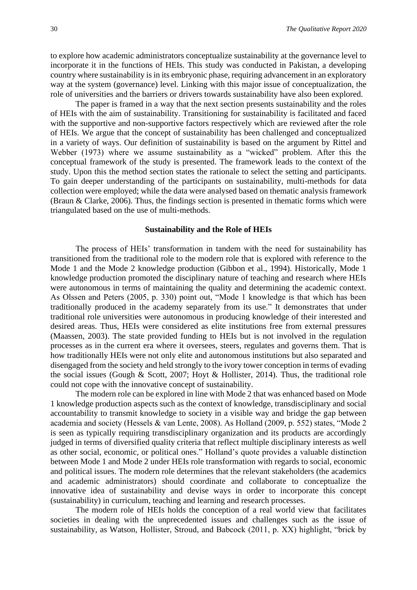to explore how academic administrators conceptualize sustainability at the governance level to incorporate it in the functions of HEIs. This study was conducted in Pakistan, a developing country where sustainability is in its embryonic phase, requiring advancement in an exploratory way at the system (governance) level. Linking with this major issue of conceptualization, the role of universities and the barriers or drivers towards sustainability have also been explored.

The paper is framed in a way that the next section presents sustainability and the roles of HEIs with the aim of sustainability. Transitioning for sustainability is facilitated and faced with the supportive and non-supportive factors respectively which are reviewed after the role of HEIs. We argue that the concept of sustainability has been challenged and conceptualized in a variety of ways. Our definition of sustainability is based on the argument by Rittel and Webber (1973) where we assume sustainability as a "wicked" problem. After this the conceptual framework of the study is presented. The framework leads to the context of the study. Upon this the method section states the rationale to select the setting and participants. To gain deeper understanding of the participants on sustainability, multi-methods for data collection were employed; while the data were analysed based on thematic analysis framework (Braun & Clarke, 2006). Thus, the findings section is presented in thematic forms which were triangulated based on the use of multi-methods.

#### **Sustainability and the Role of HEIs**

The process of HEIs' transformation in tandem with the need for sustainability has transitioned from the traditional role to the modern role that is explored with reference to the Mode 1 and the Mode 2 knowledge production (Gibbon et al., 1994). Historically, Mode 1 knowledge production promoted the disciplinary nature of teaching and research where HEIs were autonomous in terms of maintaining the quality and determining the academic context. As Olssen and Peters (2005, p. 330) point out, "Mode 1 knowledge is that which has been traditionally produced in the academy separately from its use." It demonstrates that under traditional role universities were autonomous in producing knowledge of their interested and desired areas. Thus, HEIs were considered as elite institutions free from external pressures (Maassen, 2003). The state provided funding to HEIs but is not involved in the regulation processes as in the current era where it oversees, steers, regulates and governs them. That is how traditionally HEIs were not only elite and autonomous institutions but also separated and disengaged from the society and held strongly to the ivory tower conception in terms of evading the social issues (Gough & Scott, 2007; Hoyt & Hollister, 2014). Thus, the traditional role could not cope with the innovative concept of sustainability.

The modern role can be explored in line with Mode 2 that was enhanced based on Mode 1 knowledge production aspects such as the context of knowledge, transdisciplinary and social accountability to transmit knowledge to society in a visible way and bridge the gap between academia and society (Hessels & van Lente, 2008). As Holland (2009, p. 552) states, "Mode 2 is seen as typically requiring transdisciplinary organization and its products are accordingly judged in terms of diversified quality criteria that reflect multiple disciplinary interests as well as other social, economic, or political ones." Holland's quote provides a valuable distinction between Mode 1 and Mode 2 under HEIs role transformation with regards to social, economic and political issues. The modern role determines that the relevant stakeholders (the academics and academic administrators) should coordinate and collaborate to conceptualize the innovative idea of sustainability and devise ways in order to incorporate this concept (sustainability) in curriculum, teaching and learning and research processes.

The modern role of HEIs holds the conception of a real world view that facilitates societies in dealing with the unprecedented issues and challenges such as the issue of sustainability, as Watson, Hollister, Stroud, and Babcock (2011, p. XX) highlight, "brick by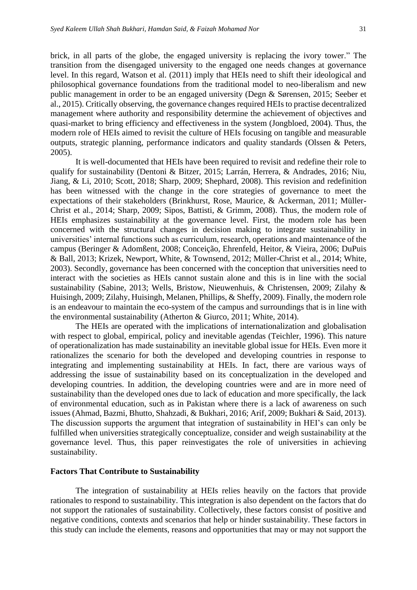brick, in all parts of the globe, the engaged university is replacing the ivory tower." The transition from the disengaged university to the engaged one needs changes at governance level. In this regard, Watson et al. (2011) imply that HEIs need to shift their ideological and philosophical governance foundations from the traditional model to neo-liberalism and new public management in order to be an engaged university (Degn & Sørensen, 2015; Seeber et al., 2015). Critically observing, the governance changes required HEIs to practise decentralized management where authority and responsibility determine the achievement of objectives and quasi-market to bring efficiency and effectiveness in the system (Jongbloed, 2004). Thus, the modern role of HEIs aimed to revisit the culture of HEIs focusing on tangible and measurable outputs, strategic planning, performance indicators and quality standards (Olssen & Peters, 2005).

It is well-documented that HEIs have been required to revisit and redefine their role to qualify for sustainability (Dentoni & Bitzer, 2015; Larrán, Herrera, & Andrades, 2016; Niu, Jiang, & Li, 2010; Scott, 2018; Sharp, 2009; Shephard, 2008). This revision and redefinition has been witnessed with the change in the core strategies of governance to meet the expectations of their stakeholders (Brinkhurst, Rose, Maurice, & Ackerman, 2011; Müller-Christ et al., 2014; Sharp, 2009; Sipos, Battisti, & Grimm, 2008). Thus, the modern role of HEIs emphasizes sustainability at the governance level. First, the modern role has been concerned with the structural changes in decision making to integrate sustainability in universities' internal functions such as curriculum, research, operations and maintenance of the campus (Beringer & Adomßent, 2008; Conceição, Ehrenfeld, Heitor, & Vieira, 2006; DuPuis & Ball, 2013; Krizek, Newport, White, & Townsend, 2012; Müller-Christ et al., 2014; White, 2003). Secondly, governance has been concerned with the conception that universities need to interact with the societies as HEIs cannot sustain alone and this is in line with the social sustainability (Sabine, 2013; Wells, Bristow, Nieuwenhuis, & Christensen, 2009; Zilahy & Huisingh, 2009; Zilahy, Huisingh, Melanen, Phillips, & Sheffy, 2009). Finally, the modern role is an endeavour to maintain the eco-system of the campus and surroundings that is in line with the environmental sustainability (Atherton & Giurco, 2011; White, 2014).

The HEIs are operated with the implications of internationalization and globalisation with respect to global, empirical, policy and inevitable agendas (Teichler, 1996). This nature of operationalization has made sustainability an inevitable global issue for HEIs. Even more it rationalizes the scenario for both the developed and developing countries in response to integrating and implementing sustainability at HEIs. In fact, there are various ways of addressing the issue of sustainability based on its conceptualization in the developed and developing countries. In addition, the developing countries were and are in more need of sustainability than the developed ones due to lack of education and more specifically, the lack of environmental education, such as in Pakistan where there is a lack of awareness on such issues (Ahmad, Bazmi, Bhutto, Shahzadi, & Bukhari, 2016; Arif, 2009; Bukhari & Said, 2013). The discussion supports the argument that integration of sustainability in HEI's can only be fulfilled when universities strategically conceptualize, consider and weigh sustainability at the governance level. Thus, this paper reinvestigates the role of universities in achieving sustainability.

#### **Factors That Contribute to Sustainability**

The integration of sustainability at HEIs relies heavily on the factors that provide rationales to respond to sustainability. This integration is also dependent on the factors that do not support the rationales of sustainability. Collectively, these factors consist of positive and negative conditions, contexts and scenarios that help or hinder sustainability. These factors in this study can include the elements, reasons and opportunities that may or may not support the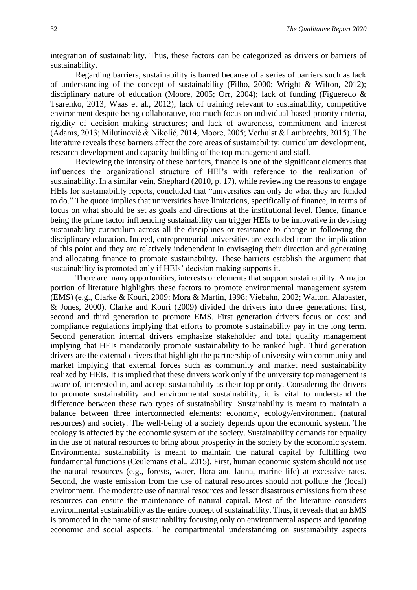integration of sustainability. Thus, these factors can be categorized as drivers or barriers of sustainability.

Regarding barriers, sustainability is barred because of a series of barriers such as lack of understanding of the concept of sustainability (Filho, 2000; Wright & Wilton, 2012); disciplinary nature of education (Moore, 2005; Orr, 2004); lack of funding (Figueredo & Tsarenko, 2013; Waas et al., 2012); lack of training relevant to sustainability, competitive environment despite being collaborative, too much focus on individual-based-priority criteria, rigidity of decision making structures; and lack of awareness, commitment and interest (Adams, 2013; Milutinović & Nikolić, 2014; Moore, 2005; Verhulst & Lambrechts, 2015). The literature reveals these barriers affect the core areas of sustainability: curriculum development, research development and capacity building of the top management and staff.

Reviewing the intensity of these barriers, finance is one of the significant elements that influences the organizational structure of HEI's with reference to the realization of sustainability. In a similar vein, Shephard (2010, p. 17), while reviewing the reasons to engage HEIs for sustainability reports, concluded that "universities can only do what they are funded to do." The quote implies that universities have limitations, specifically of finance, in terms of focus on what should be set as goals and directions at the institutional level. Hence, finance being the prime factor influencing sustainability can trigger HEIs to be innovative in devising sustainability curriculum across all the disciplines or resistance to change in following the disciplinary education. Indeed, entrepreneurial universities are excluded from the implication of this point and they are relatively independent in envisaging their direction and generating and allocating finance to promote sustainability. These barriers establish the argument that sustainability is promoted only if HEIs' decision making supports it.

There are many opportunities, interests or elements that support sustainability. A major portion of literature highlights these factors to promote environmental management system (EMS) (e.g., Clarke & Kouri, 2009; Mora & Martin, 1998; Viebahn, 2002; Walton, Alabaster, & Jones, 2000). Clarke and Kouri (2009) divided the drivers into three generations: first, second and third generation to promote EMS. First generation drivers focus on cost and compliance regulations implying that efforts to promote sustainability pay in the long term. Second generation internal drivers emphasize stakeholder and total quality management implying that HEIs mandatorily promote sustainability to be ranked high. Third generation drivers are the external drivers that highlight the partnership of university with community and market implying that external forces such as community and market need sustainability realized by HEIs. It is implied that these drivers work only if the university top management is aware of, interested in, and accept sustainability as their top priority. Considering the drivers to promote sustainability and environmental sustainability, it is vital to understand the difference between these two types of sustainability. Sustainability is meant to maintain a balance between three interconnected elements: economy, ecology/environment (natural resources) and society. The well-being of a society depends upon the economic system. The ecology is affected by the economic system of the society. Sustainability demands for equality in the use of natural resources to bring about prosperity in the society by the economic system. Environmental sustainability is meant to maintain the natural capital by fulfilling two fundamental functions (Ceulemans et al., 2015). First, human economic system should not use the natural resources (e.g., forests, water, flora and fauna, marine life) at excessive rates. Second, the waste emission from the use of natural resources should not pollute the (local) environment. The moderate use of natural resources and lesser disastrous emissions from these resources can ensure the maintenance of natural capital. Most of the literature considers environmental sustainability as the entire concept of sustainability. Thus, it reveals that an EMS is promoted in the name of sustainability focusing only on environmental aspects and ignoring economic and social aspects. The compartmental understanding on sustainability aspects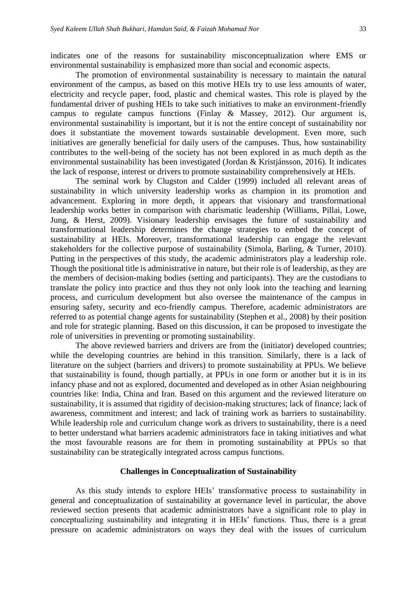indicates one of the reasons for sustainability misconceptualization where EMS or environmental sustainability is emphasized more than social and economic aspects.

The promotion of environmental sustainability is necessary to maintain the natural environment of the campus, as based on this motive HEIs try to use less amounts of water, electricity and recycle paper, food, plastic and chemical wastes. This role is played by the fundamental driver of pushing HEIs to take such initiatives to make an environment-friendly campus to regulate campus functions (Finlay & Massey, 2012). Our argument is, environmental sustainability is important, but it is not the entire concept of sustainability nor does it substantiate the movement towards sustainable development. Even more, such initiatives are generally beneficial for daily users of the campuses. Thus, how sustainability contributes to the well-being of the society has not been explored in as much depth as the environmental sustainability has been investigated (Jordan & Kristjánsson, 2016). It indicates the lack of response, interest or drivers to promote sustainability comprehensively at HEIs.

The seminal work by Clugston and Calder (1999) included all relevant areas of sustainability in which university leadership works as champion in its promotion and advancement. Exploring in more depth, it appears that visionary and transformational leadership works better in comparison with charismatic leadership (Williams, Pillai, Lowe, Jung, & Herst, 2009). Visionary leadership envisages the future of sustainability and transformational leadership determines the change strategies to embed the concept of sustainability at HEIs. Moreover, transformational leadership can engage the relevant stakeholders for the collective purpose of sustainability (Simola, Barling, & Turner, 2010). Putting in the perspectives of this study, the academic administrators play a leadership role. Though the positional title is administrative in nature, but their role is of leadership, as they are the members of decision-making bodies (setting and participants). They are the custodians to translate the policy into practice and thus they not only look into the teaching and learning process, and curriculum development but also oversee the maintenance of the campus in ensuring safety, security and eco-friendly campus. Therefore, academic administrators are referred to as potential change agents for sustainability (Stephen et al., 2008) by their position and role for strategic planning. Based on this discussion, it can be proposed to investigate the role of universities in preventing or promoting sustainability.

The above reviewed barriers and drivers are from the (initiator) developed countries; while the developing countries are behind in this transition. Similarly, there is a lack of literature on the subject (barriers and drivers) to promote sustainability at PPUs. We believe that sustainability is found, though partially, at PPUs in one form or another but it is in its infancy phase and not as explored, documented and developed as in other Asian neighbouring countries like: India, China and Iran. Based on this argument and the reviewed literature on sustainability, it is assumed that rigidity of decision-making structures; lack of finance; lack of awareness, commitment and interest; and lack of training work as barriers to sustainability. While leadership role and curriculum change work as drivers to sustainability, there is a need to better understand what barriers academic administrators face in taking initiatives and what the most favourable reasons are for them in promoting sustainability at PPUs so that sustainability can be strategically integrated across campus functions.

#### **Challenges in Conceptualization of Sustainability**

As this study intends to explore HEIs' transformative process to sustainability in general and conceptualization of sustainability at governance level in particular, the above reviewed section presents that academic administrators have a significant role to play in conceptualizing sustainability and integrating it in HEIs' functions. Thus, there is a great pressure on academic administrators on ways they deal with the issues of curriculum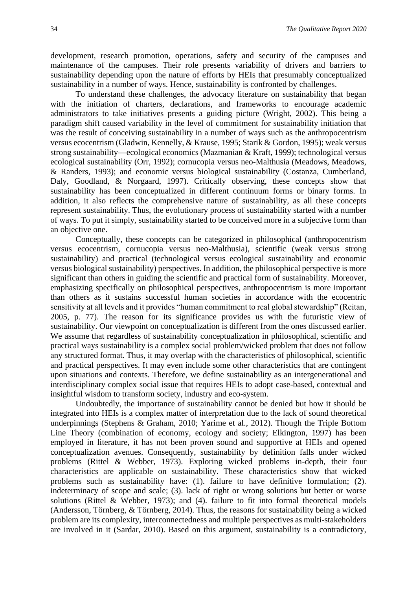development, research promotion, operations, safety and security of the campuses and maintenance of the campuses. Their role presents variability of drivers and barriers to sustainability depending upon the nature of efforts by HEIs that presumably conceptualized sustainability in a number of ways. Hence, sustainability is confronted by challenges.

To understand these challenges, the advocacy literature on sustainability that began with the initiation of charters, declarations, and frameworks to encourage academic administrators to take initiatives presents a guiding picture (Wright, 2002). This being a paradigm shift caused variability in the level of commitment for sustainability initiation that was the result of conceiving sustainability in a number of ways such as the anthropocentrism versus ecocentrism (Gladwin, Kennelly, & Krause, 1995; Starik & Gordon, 1995); weak versus strong sustainability—ecological economics (Mazmanian & Kraft, 1999); technological versus ecological sustainability (Orr, 1992); cornucopia versus neo-Malthusia (Meadows, Meadows, & Randers, 1993); and economic versus biological sustainability (Costanza, Cumberland, Daly, Goodland, & Norgaard, 1997). Critically observing, these concepts show that sustainability has been conceptualized in different continuum forms or binary forms. In addition, it also reflects the comprehensive nature of sustainability, as all these concepts represent sustainability. Thus, the evolutionary process of sustainability started with a number of ways. To put it simply, sustainability started to be conceived more in a subjective form than an objective one.

Conceptually, these concepts can be categorized in philosophical (anthropocentrism versus ecocentrism, cornucopia versus neo-Malthusia), scientific (weak versus strong sustainability) and practical (technological versus ecological sustainability and economic versus biological sustainability) perspectives. In addition, the philosophical perspective is more significant than others in guiding the scientific and practical form of sustainability. Moreover, emphasizing specifically on philosophical perspectives, anthropocentrism is more important than others as it sustains successful human societies in accordance with the ecocentric sensitivity at all levels and it provides "human commitment to real global stewardship" (Reitan, 2005, p. 77). The reason for its significance provides us with the futuristic view of sustainability. Our viewpoint on conceptualization is different from the ones discussed earlier. We assume that regardless of sustainability conceptualization in philosophical, scientific and practical ways sustainability is a complex social problem/wicked problem that does not follow any structured format. Thus, it may overlap with the characteristics of philosophical, scientific and practical perspectives. It may even include some other characteristics that are contingent upon situations and contexts. Therefore, we define sustainability as an intergenerational and interdisciplinary complex social issue that requires HEIs to adopt case-based, contextual and insightful wisdom to transform society, industry and eco-system.

Undoubtedly, the importance of sustainability cannot be denied but how it should be integrated into HEIs is a complex matter of interpretation due to the lack of sound theoretical underpinnings (Stephens & Graham, 2010; Yarime et al., 2012). Though the Triple Bottom Line Theory (combination of economy, ecology and society; Elkington, 1997) has been employed in literature, it has not been proven sound and supportive at HEIs and opened conceptualization avenues. Consequently, sustainability by definition falls under wicked problems (Rittel & Webber, 1973). Exploring wicked problems in-depth, their four characteristics are applicable on sustainability. These characteristics show that wicked problems such as sustainability have: (1). failure to have definitive formulation; (2). indeterminacy of scope and scale; (3). lack of right or wrong solutions but better or worse solutions (Rittel & Webber, 1973); and (4). failure to fit into formal theoretical models (Andersson, Törnberg, & Törnberg, 2014). Thus, the reasons for sustainability being a wicked problem are its complexity, interconnectedness and multiple perspectives as multi-stakeholders are involved in it (Sardar, 2010). Based on this argument, sustainability is a contradictory,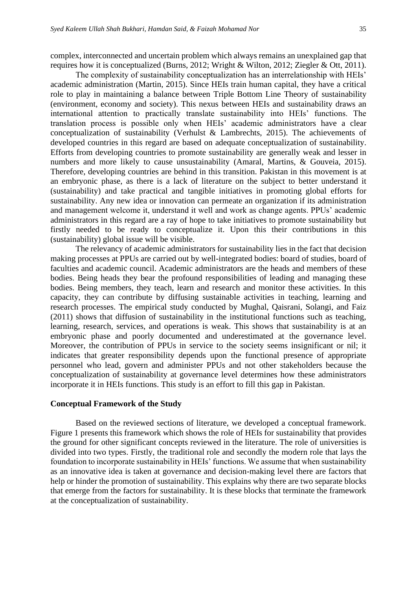complex, interconnected and uncertain problem which always remains an unexplained gap that requires how it is conceptualized (Burns, 2012; Wright & Wilton, 2012; Ziegler & Ott, 2011).

The complexity of sustainability conceptualization has an interrelationship with HEIs' academic administration (Martin, 2015). Since HEIs train human capital, they have a critical role to play in maintaining a balance between Triple Bottom Line Theory of sustainability (environment, economy and society). This nexus between HEIs and sustainability draws an international attention to practically translate sustainability into HEIs' functions. The translation process is possible only when HEIs' academic administrators have a clear conceptualization of sustainability (Verhulst & Lambrechts, 2015). The achievements of developed countries in this regard are based on adequate conceptualization of sustainability. Efforts from developing countries to promote sustainability are generally weak and lesser in numbers and more likely to cause unsustainability (Amaral, Martins, & Gouveia, 2015). Therefore, developing countries are behind in this transition. Pakistan in this movement is at an embryonic phase, as there is a lack of literature on the subject to better understand it (sustainability) and take practical and tangible initiatives in promoting global efforts for sustainability. Any new idea or innovation can permeate an organization if its administration and management welcome it, understand it well and work as change agents. PPUs' academic administrators in this regard are a ray of hope to take initiatives to promote sustainability but firstly needed to be ready to conceptualize it. Upon this their contributions in this (sustainability) global issue will be visible.

The relevancy of academic administrators for sustainability lies in the fact that decision making processes at PPUs are carried out by well-integrated bodies: board of studies, board of faculties and academic council. Academic administrators are the heads and members of these bodies. Being heads they bear the profound responsibilities of leading and managing these bodies. Being members, they teach, learn and research and monitor these activities. In this capacity, they can contribute by diffusing sustainable activities in teaching, learning and research processes. The empirical study conducted by Mughal, Qaisrani, Solangi, and Faiz (2011) shows that diffusion of sustainability in the institutional functions such as teaching, learning, research, services, and operations is weak. This shows that sustainability is at an embryonic phase and poorly documented and underestimated at the governance level. Moreover, the contribution of PPUs in service to the society seems insignificant or nil; it indicates that greater responsibility depends upon the functional presence of appropriate personnel who lead, govern and administer PPUs and not other stakeholders because the conceptualization of sustainability at governance level determines how these administrators incorporate it in HEIs functions. This study is an effort to fill this gap in Pakistan.

#### **Conceptual Framework of the Study**

Based on the reviewed sections of literature, we developed a conceptual framework. Figure 1 presents this framework which shows the role of HEIs for sustainability that provides the ground for other significant concepts reviewed in the literature. The role of universities is divided into two types. Firstly, the traditional role and secondly the modern role that lays the foundation to incorporate sustainability in HEIs' functions. We assume that when sustainability as an innovative idea is taken at governance and decision-making level there are factors that help or hinder the promotion of sustainability. This explains why there are two separate blocks that emerge from the factors for sustainability. It is these blocks that terminate the framework at the conceptualization of sustainability.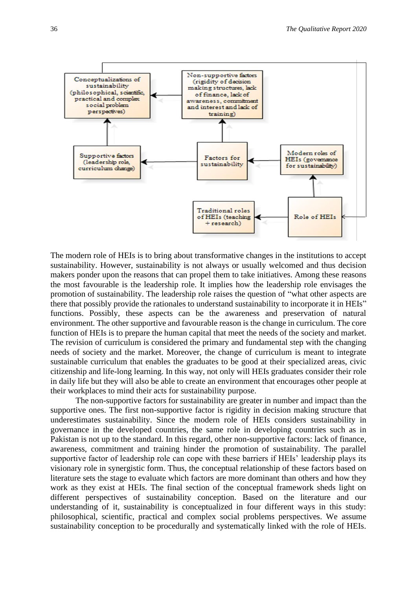

The modern role of HEIs is to bring about transformative changes in the institutions to accept sustainability. However, sustainability is not always or usually welcomed and thus decision makers ponder upon the reasons that can propel them to take initiatives. Among these reasons the most favourable is the leadership role. It implies how the leadership role envisages the promotion of sustainability. The leadership role raises the question of "what other aspects are there that possibly provide the rationales to understand sustainability to incorporate it in HEIs" functions. Possibly, these aspects can be the awareness and preservation of natural environment. The other supportive and favourable reason is the change in curriculum. The core function of HEIs is to prepare the human capital that meet the needs of the society and market. The revision of curriculum is considered the primary and fundamental step with the changing needs of society and the market. Moreover, the change of curriculum is meant to integrate sustainable curriculum that enables the graduates to be good at their specialized areas, civic citizenship and life-long learning. In this way, not only will HEIs graduates consider their role in daily life but they will also be able to create an environment that encourages other people at their workplaces to mind their acts for sustainability purpose.

The non-supportive factors for sustainability are greater in number and impact than the supportive ones. The first non-supportive factor is rigidity in decision making structure that underestimates sustainability. Since the modern role of HEIs considers sustainability in governance in the developed countries, the same role in developing countries such as in Pakistan is not up to the standard. In this regard, other non-supportive factors: lack of finance, awareness, commitment and training hinder the promotion of sustainability. The parallel supportive factor of leadership role can cope with these barriers if HEIs' leadership plays its visionary role in synergistic form. Thus, the conceptual relationship of these factors based on literature sets the stage to evaluate which factors are more dominant than others and how they work as they exist at HEIs. The final section of the conceptual framework sheds light on different perspectives of sustainability conception. Based on the literature and our understanding of it, sustainability is conceptualized in four different ways in this study: philosophical, scientific, practical and complex social problems perspectives. We assume sustainability conception to be procedurally and systematically linked with the role of HEIs.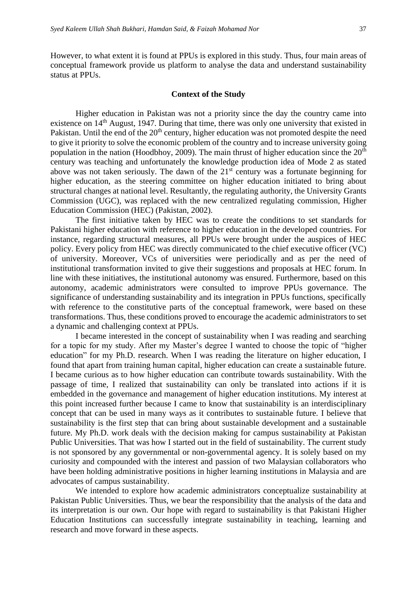However, to what extent it is found at PPUs is explored in this study. Thus, four main areas of conceptual framework provide us platform to analyse the data and understand sustainability status at PPUs.

#### **Context of the Study**

Higher education in Pakistan was not a priority since the day the country came into existence on 14<sup>th</sup> August, 1947. During that time, there was only one university that existed in Pakistan. Until the end of the 20<sup>th</sup> century, higher education was not promoted despite the need to give it priority to solve the economic problem of the country and to increase university going population in the nation (Hoodbhoy, 2009). The main thrust of higher education since the  $20<sup>th</sup>$ century was teaching and unfortunately the knowledge production idea of Mode 2 as stated above was not taken seriously. The dawn of the  $21<sup>st</sup>$  century was a fortunate beginning for higher education, as the steering committee on higher education initiated to bring about structural changes at national level. Resultantly, the regulating authority, the University Grants Commission (UGC), was replaced with the new centralized regulating commission, Higher Education Commission (HEC) (Pakistan, 2002).

The first initiative taken by HEC was to create the conditions to set standards for Pakistani higher education with reference to higher education in the developed countries. For instance, regarding structural measures, all PPUs were brought under the auspices of HEC policy. Every policy from HEC was directly communicated to the chief executive officer (VC) of university. Moreover, VCs of universities were periodically and as per the need of institutional transformation invited to give their suggestions and proposals at HEC forum. In line with these initiatives, the institutional autonomy was ensured. Furthermore, based on this autonomy, academic administrators were consulted to improve PPUs governance. The significance of understanding sustainability and its integration in PPUs functions, specifically with reference to the constitutive parts of the conceptual framework, were based on these transformations. Thus, these conditions proved to encourage the academic administrators to set a dynamic and challenging context at PPUs.

I became interested in the concept of sustainability when I was reading and searching for a topic for my study. After my Master's degree I wanted to choose the topic of "higher education" for my Ph.D. research. When I was reading the literature on higher education, I found that apart from training human capital, higher education can create a sustainable future. I became curious as to how higher education can contribute towards sustainability. With the passage of time, I realized that sustainability can only be translated into actions if it is embedded in the governance and management of higher education institutions. My interest at this point increased further because I came to know that sustainability is an interdisciplinary concept that can be used in many ways as it contributes to sustainable future. I believe that sustainability is the first step that can bring about sustainable development and a sustainable future. My Ph.D. work deals with the decision making for campus sustainability at Pakistan Public Universities. That was how I started out in the field of sustainability. The current study is not sponsored by any governmental or non-governmental agency. It is solely based on my curiosity and compounded with the interest and passion of two Malaysian collaborators who have been holding administrative positions in higher learning institutions in Malaysia and are advocates of campus sustainability.

We intended to explore how academic administrators conceptualize sustainability at Pakistan Public Universities. Thus, we bear the responsibility that the analysis of the data and its interpretation is our own. Our hope with regard to sustainability is that Pakistani Higher Education Institutions can successfully integrate sustainability in teaching, learning and research and move forward in these aspects.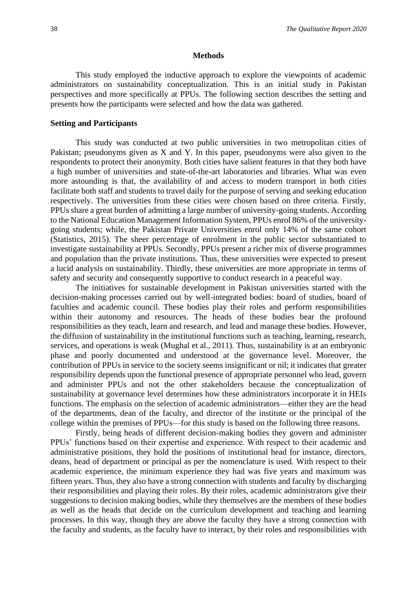#### **Methods**

This study employed the inductive approach to explore the viewpoints of academic administrators on sustainability conceptualization. This is an initial study in Pakistan perspectives and more specifically at PPUs. The following section describes the setting and presents how the participants were selected and how the data was gathered.

#### **Setting and Participants**

This study was conducted at two public universities in two metropolitan cities of Pakistan; pseudonyms given as X and Y. In this paper, pseudonyms were also given to the respondents to protect their anonymity. Both cities have salient features in that they both have a high number of universities and state-of-the-art laboratories and libraries. What was even more astounding is that, the availability of and access to modern transport in both cities facilitate both staff and students to travel daily for the purpose of serving and seeking education respectively. The universities from these cities were chosen based on three criteria. Firstly, PPUs share a great burden of admitting a large number of university-going students. According to the National Education Management Information System, PPUs enrol 86% of the universitygoing students; while, the Pakistan Private Universities enrol only 14% of the same cohort (Statistics, 2015). The sheer percentage of enrolment in the public sector substantiated to investigate sustainability at PPUs. Secondly, PPUs present a richer mix of diverse programmes and population than the private institutions. Thus, these universities were expected to present a lucid analysis on sustainability. Thirdly, these universities are more appropriate in terms of safety and security and consequently supportive to conduct research in a peaceful way.

The initiatives for sustainable development in Pakistan universities started with the decision-making processes carried out by well-integrated bodies: board of studies, board of faculties and academic council. These bodies play their roles and perform responsibilities within their autonomy and resources. The heads of these bodies bear the profound responsibilities as they teach, learn and research, and lead and manage these bodies. However, the diffusion of sustainability in the institutional functions such as teaching, learning, research, services, and operations is weak (Mughal et al., 2011). Thus, sustainability is at an embryonic phase and poorly documented and understood at the governance level. Moreover, the contribution of PPUs in service to the society seems insignificant or nil; it indicates that greater responsibility depends upon the functional presence of appropriate personnel who lead, govern and administer PPUs and not the other stakeholders because the conceptualization of sustainability at governance level determines how these administrators incorporate it in HEIs functions. The emphasis on the selection of academic administrators—either they are the head of the departments, dean of the faculty, and director of the institute or the principal of the college within the premises of PPUs—for this study is based on the following three reasons.

Firstly, being heads of different decision-making bodies they govern and administer PPUs' functions based on their expertise and experience. With respect to their academic and administrative positions, they hold the positions of institutional head for instance, directors, deans, head of department or principal as per the nomenclature is used. With respect to their academic experience, the minimum experience they had was five years and maximum was fifteen years. Thus, they also have a strong connection with students and faculty by discharging their responsibilities and playing their roles. By their roles, academic administrators give their suggestions to decision making bodies, while they themselves are the members of these bodies as well as the heads that decide on the curriculum development and teaching and learning processes. In this way, though they are above the faculty they have a strong connection with the faculty and students, as the faculty have to interact, by their roles and responsibilities with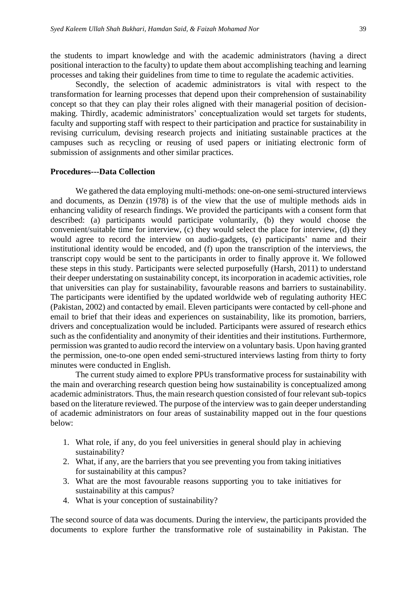the students to impart knowledge and with the academic administrators (having a direct positional interaction to the faculty) to update them about accomplishing teaching and learning processes and taking their guidelines from time to time to regulate the academic activities.

Secondly, the selection of academic administrators is vital with respect to the transformation for learning processes that depend upon their comprehension of sustainability concept so that they can play their roles aligned with their managerial position of decisionmaking. Thirdly, academic administrators' conceptualization would set targets for students, faculty and supporting staff with respect to their participation and practice for sustainability in revising curriculum, devising research projects and initiating sustainable practices at the campuses such as recycling or reusing of used papers or initiating electronic form of submission of assignments and other similar practices.

#### **Procedures---Data Collection**

We gathered the data employing multi-methods: one-on-one semi-structured interviews and documents, as Denzin (1978) is of the view that the use of multiple methods aids in enhancing validity of research findings. We provided the participants with a consent form that described: (a) participants would participate voluntarily, (b) they would choose the convenient/suitable time for interview, (c) they would select the place for interview, (d) they would agree to record the interview on audio-gadgets, (e) participants' name and their institutional identity would be encoded, and (f) upon the transcription of the interviews, the transcript copy would be sent to the participants in order to finally approve it. We followed these steps in this study. Participants were selected purposefully (Harsh, 2011) to understand their deeper understating on sustainability concept, its incorporation in academic activities, role that universities can play for sustainability, favourable reasons and barriers to sustainability. The participants were identified by the updated worldwide web of regulating authority HEC (Pakistan, 2002) and contacted by email. Eleven participants were contacted by cell-phone and email to brief that their ideas and experiences on sustainability, like its promotion, barriers, drivers and conceptualization would be included. Participants were assured of research ethics such as the confidentiality and anonymity of their identities and their institutions. Furthermore, permission was granted to audio record the interview on a voluntary basis. Upon having granted the permission, one-to-one open ended semi-structured interviews lasting from thirty to forty minutes were conducted in English.

The current study aimed to explore PPUs transformative process for sustainability with the main and overarching research question being how sustainability is conceptualized among academic administrators. Thus, the main research question consisted of four relevant sub-topics based on the literature reviewed. The purpose of the interview was to gain deeper understanding of academic administrators on four areas of sustainability mapped out in the four questions below:

- 1. What role, if any, do you feel universities in general should play in achieving sustainability?
- 2. What, if any, are the barriers that you see preventing you from taking initiatives for sustainability at this campus?
- 3. What are the most favourable reasons supporting you to take initiatives for sustainability at this campus?
- 4. What is your conception of sustainability?

The second source of data was documents. During the interview, the participants provided the documents to explore further the transformative role of sustainability in Pakistan. The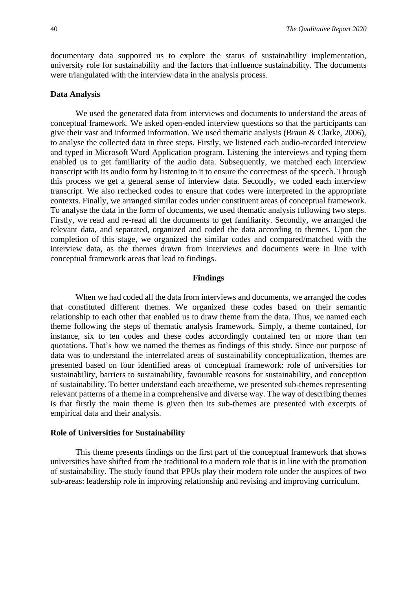documentary data supported us to explore the status of sustainability implementation, university role for sustainability and the factors that influence sustainability. The documents were triangulated with the interview data in the analysis process.

#### **Data Analysis**

We used the generated data from interviews and documents to understand the areas of conceptual framework. We asked open-ended interview questions so that the participants can give their vast and informed information. We used thematic analysis (Braun & Clarke, 2006), to analyse the collected data in three steps. Firstly, we listened each audio-recorded interview and typed in Microsoft Word Application program. Listening the interviews and typing them enabled us to get familiarity of the audio data. Subsequently, we matched each interview transcript with its audio form by listening to it to ensure the correctness of the speech. Through this process we get a general sense of interview data. Secondly, we coded each interview transcript. We also rechecked codes to ensure that codes were interpreted in the appropriate contexts. Finally, we arranged similar codes under constituent areas of conceptual framework. To analyse the data in the form of documents, we used thematic analysis following two steps. Firstly, we read and re-read all the documents to get familiarity. Secondly, we arranged the relevant data, and separated, organized and coded the data according to themes. Upon the completion of this stage, we organized the similar codes and compared/matched with the interview data, as the themes drawn from interviews and documents were in line with conceptual framework areas that lead to findings.

#### **Findings**

When we had coded all the data from interviews and documents, we arranged the codes that constituted different themes. We organized these codes based on their semantic relationship to each other that enabled us to draw theme from the data. Thus, we named each theme following the steps of thematic analysis framework. Simply, a theme contained, for instance, six to ten codes and these codes accordingly contained ten or more than ten quotations. That's how we named the themes as findings of this study. Since our purpose of data was to understand the interrelated areas of sustainability conceptualization, themes are presented based on four identified areas of conceptual framework: role of universities for sustainability, barriers to sustainability, favourable reasons for sustainability, and conception of sustainability. To better understand each area/theme, we presented sub-themes representing relevant patterns of a theme in a comprehensive and diverse way. The way of describing themes is that firstly the main theme is given then its sub-themes are presented with excerpts of empirical data and their analysis.

#### **Role of Universities for Sustainability**

This theme presents findings on the first part of the conceptual framework that shows universities have shifted from the traditional to a modern role that is in line with the promotion of sustainability. The study found that PPUs play their modern role under the auspices of two sub-areas: leadership role in improving relationship and revising and improving curriculum.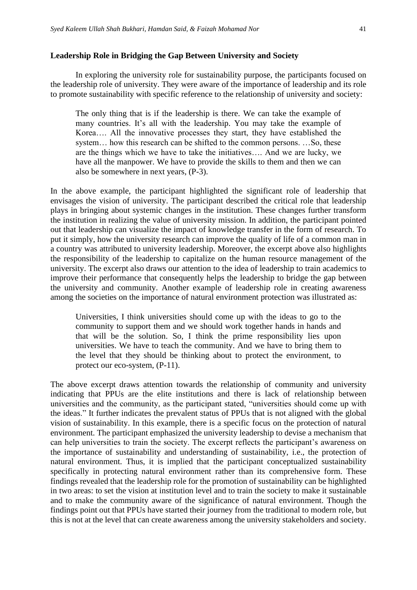#### **Leadership Role in Bridging the Gap Between University and Society**

In exploring the university role for sustainability purpose, the participants focused on the leadership role of university. They were aware of the importance of leadership and its role to promote sustainability with specific reference to the relationship of university and society:

The only thing that is if the leadership is there. We can take the example of many countries. It's all with the leadership. You may take the example of Korea…. All the innovative processes they start, they have established the system… how this research can be shifted to the common persons. …So, these are the things which we have to take the initiatives…. And we are lucky, we have all the manpower. We have to provide the skills to them and then we can also be somewhere in next years, (P-3).

In the above example, the participant highlighted the significant role of leadership that envisages the vision of university. The participant described the critical role that leadership plays in bringing about systemic changes in the institution. These changes further transform the institution in realizing the value of university mission. In addition, the participant pointed out that leadership can visualize the impact of knowledge transfer in the form of research. To put it simply, how the university research can improve the quality of life of a common man in a country was attributed to university leadership. Moreover, the excerpt above also highlights the responsibility of the leadership to capitalize on the human resource management of the university. The excerpt also draws our attention to the idea of leadership to train academics to improve their performance that consequently helps the leadership to bridge the gap between the university and community. Another example of leadership role in creating awareness among the societies on the importance of natural environment protection was illustrated as:

Universities, I think universities should come up with the ideas to go to the community to support them and we should work together hands in hands and that will be the solution. So, I think the prime responsibility lies upon universities. We have to teach the community. And we have to bring them to the level that they should be thinking about to protect the environment, to protect our eco-system, (P-11).

The above excerpt draws attention towards the relationship of community and university indicating that PPUs are the elite institutions and there is lack of relationship between universities and the community, as the participant stated, "universities should come up with the ideas." It further indicates the prevalent status of PPUs that is not aligned with the global vision of sustainability. In this example, there is a specific focus on the protection of natural environment. The participant emphasized the university leadership to devise a mechanism that can help universities to train the society. The excerpt reflects the participant's awareness on the importance of sustainability and understanding of sustainability, i.e., the protection of natural environment. Thus, it is implied that the participant conceptualized sustainability specifically in protecting natural environment rather than its comprehensive form. These findings revealed that the leadership role for the promotion of sustainability can be highlighted in two areas: to set the vision at institution level and to train the society to make it sustainable and to make the community aware of the significance of natural environment. Though the findings point out that PPUs have started their journey from the traditional to modern role, but this is not at the level that can create awareness among the university stakeholders and society.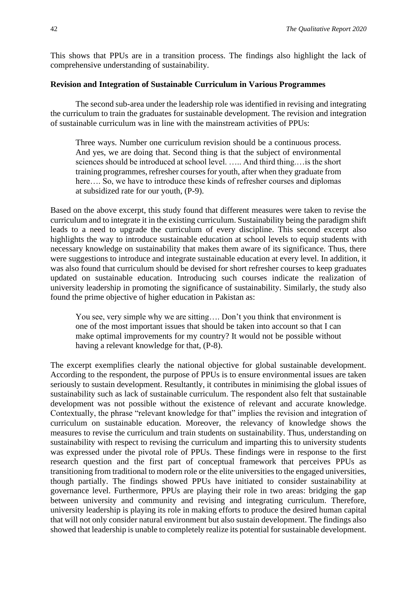This shows that PPUs are in a transition process. The findings also highlight the lack of comprehensive understanding of sustainability.

#### **Revision and Integration of Sustainable Curriculum in Various Programmes**

The second sub-area under the leadership role was identified in revising and integrating the curriculum to train the graduates for sustainable development. The revision and integration of sustainable curriculum was in line with the mainstream activities of PPUs:

Three ways. Number one curriculum revision should be a continuous process. And yes, we are doing that. Second thing is that the subject of environmental sciences should be introduced at school level. ….. And third thing.…is the short training programmes, refresher courses for youth, after when they graduate from here.... So, we have to introduce these kinds of refresher courses and diplomas at subsidized rate for our youth, (P-9).

Based on the above excerpt, this study found that different measures were taken to revise the curriculum and to integrate it in the existing curriculum. Sustainability being the paradigm shift leads to a need to upgrade the curriculum of every discipline. This second excerpt also highlights the way to introduce sustainable education at school levels to equip students with necessary knowledge on sustainability that makes them aware of its significance. Thus, there were suggestions to introduce and integrate sustainable education at every level. In addition, it was also found that curriculum should be devised for short refresher courses to keep graduates updated on sustainable education. Introducing such courses indicate the realization of university leadership in promoting the significance of sustainability. Similarly, the study also found the prime objective of higher education in Pakistan as:

You see, very simple why we are sitting…. Don't you think that environment is one of the most important issues that should be taken into account so that I can make optimal improvements for my country? It would not be possible without having a relevant knowledge for that, (P-8).

The excerpt exemplifies clearly the national objective for global sustainable development. According to the respondent, the purpose of PPUs is to ensure environmental issues are taken seriously to sustain development. Resultantly, it contributes in minimising the global issues of sustainability such as lack of sustainable curriculum. The respondent also felt that sustainable development was not possible without the existence of relevant and accurate knowledge. Contextually, the phrase "relevant knowledge for that" implies the revision and integration of curriculum on sustainable education. Moreover, the relevancy of knowledge shows the measures to revise the curriculum and train students on sustainability. Thus, understanding on sustainability with respect to revising the curriculum and imparting this to university students was expressed under the pivotal role of PPUs. These findings were in response to the first research question and the first part of conceptual framework that perceives PPUs as transitioning from traditional to modern role or the elite universities to the engaged universities, though partially. The findings showed PPUs have initiated to consider sustainability at governance level. Furthermore, PPUs are playing their role in two areas: bridging the gap between university and community and revising and integrating curriculum. Therefore, university leadership is playing its role in making efforts to produce the desired human capital that will not only consider natural environment but also sustain development. The findings also showed that leadership is unable to completely realize its potential for sustainable development.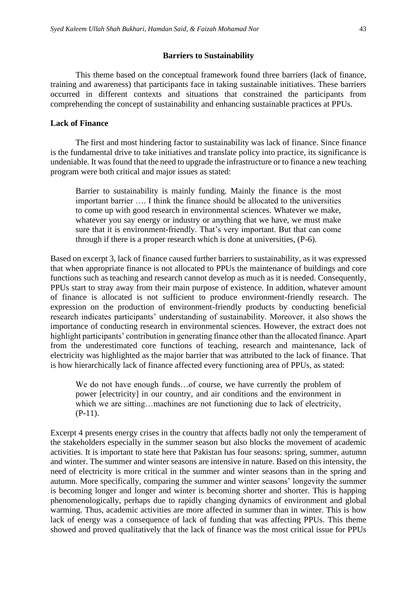#### **Barriers to Sustainability**

This theme based on the conceptual framework found three barriers (lack of finance, training and awareness) that participants face in taking sustainable initiatives. These barriers occurred in different contexts and situations that constrained the participants from comprehending the concept of sustainability and enhancing sustainable practices at PPUs.

#### **Lack of Finance**

The first and most hindering factor to sustainability was lack of finance. Since finance is the fundamental drive to take initiatives and translate policy into practice, its significance is undeniable. It was found that the need to upgrade the infrastructure or to finance a new teaching program were both critical and major issues as stated:

Barrier to sustainability is mainly funding. Mainly the finance is the most important barrier …. I think the finance should be allocated to the universities to come up with good research in environmental sciences. Whatever we make, whatever you say energy or industry or anything that we have, we must make sure that it is environment-friendly. That's very important. But that can come through if there is a proper research which is done at universities, (P-6).

Based on excerpt 3, lack of finance caused further barriers to sustainability, as it was expressed that when appropriate finance is not allocated to PPUs the maintenance of buildings and core functions such as teaching and research cannot develop as much as it is needed. Consequently, PPUs start to stray away from their main purpose of existence. In addition, whatever amount of finance is allocated is not sufficient to produce environment-friendly research. The expression on the production of environment-friendly products by conducting beneficial research indicates participants' understanding of sustainability. Moreover, it also shows the importance of conducting research in environmental sciences. However, the extract does not highlight participants' contribution in generating finance other than the allocated finance. Apart from the underestimated core functions of teaching, research and maintenance, lack of electricity was highlighted as the major barrier that was attributed to the lack of finance. That is how hierarchically lack of finance affected every functioning area of PPUs, as stated:

We do not have enough funds…of course, we have currently the problem of power [electricity] in our country, and air conditions and the environment in which we are sitting…machines are not functioning due to lack of electricity, (P-11).

Excerpt 4 presents energy crises in the country that affects badly not only the temperament of the stakeholders especially in the summer season but also blocks the movement of academic activities. It is important to state here that Pakistan has four seasons: spring, summer, autumn and winter. The summer and winter seasons are intensive in nature. Based on this intensity, the need of electricity is more critical in the summer and winter seasons than in the spring and autumn. More specifically, comparing the summer and winter seasons' longevity the summer is becoming longer and longer and winter is becoming shorter and shorter. This is happing phenomenologically, perhaps due to rapidly changing dynamics of environment and global warming. Thus, academic activities are more affected in summer than in winter. This is how lack of energy was a consequence of lack of funding that was affecting PPUs. This theme showed and proved qualitatively that the lack of finance was the most critical issue for PPUs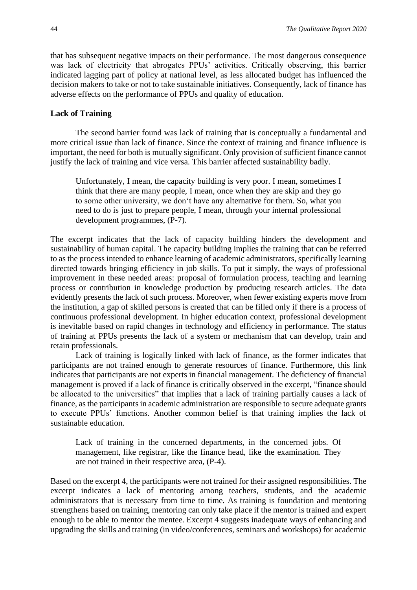that has subsequent negative impacts on their performance. The most dangerous consequence was lack of electricity that abrogates PPUs' activities. Critically observing, this barrier indicated lagging part of policy at national level, as less allocated budget has influenced the decision makers to take or not to take sustainable initiatives. Consequently, lack of finance has adverse effects on the performance of PPUs and quality of education.

#### **Lack of Training**

The second barrier found was lack of training that is conceptually a fundamental and more critical issue than lack of finance. Since the context of training and finance influence is important, the need for both is mutually significant. Only provision of sufficient finance cannot justify the lack of training and vice versa. This barrier affected sustainability badly.

Unfortunately, I mean, the capacity building is very poor. I mean, sometimes I think that there are many people, I mean, once when they are skip and they go to some other university, we don't have any alternative for them. So, what you need to do is just to prepare people, I mean, through your internal professional development programmes, (P-7).

The excerpt indicates that the lack of capacity building hinders the development and sustainability of human capital. The capacity building implies the training that can be referred to as the process intended to enhance learning of academic administrators, specifically learning directed towards bringing efficiency in job skills. To put it simply, the ways of professional improvement in these needed areas: proposal of formulation process, teaching and learning process or contribution in knowledge production by producing research articles. The data evidently presents the lack of such process. Moreover, when fewer existing experts move from the institution, a gap of skilled persons is created that can be filled only if there is a process of continuous professional development. In higher education context, professional development is inevitable based on rapid changes in technology and efficiency in performance. The status of training at PPUs presents the lack of a system or mechanism that can develop, train and retain professionals.

Lack of training is logically linked with lack of finance, as the former indicates that participants are not trained enough to generate resources of finance. Furthermore, this link indicates that participants are not experts in financial management. The deficiency of financial management is proved if a lack of finance is critically observed in the excerpt, "finance should be allocated to the universities" that implies that a lack of training partially causes a lack of finance, as the participants in academic administration are responsible to secure adequate grants to execute PPUs' functions. Another common belief is that training implies the lack of sustainable education.

Lack of training in the concerned departments, in the concerned jobs. Of management, like registrar, like the finance head, like the examination. They are not trained in their respective area, (P-4).

Based on the excerpt 4, the participants were not trained for their assigned responsibilities. The excerpt indicates a lack of mentoring among teachers, students, and the academic administrators that is necessary from time to time. As training is foundation and mentoring strengthens based on training, mentoring can only take place if the mentor is trained and expert enough to be able to mentor the mentee. Excerpt 4 suggests inadequate ways of enhancing and upgrading the skills and training (in video/conferences, seminars and workshops) for academic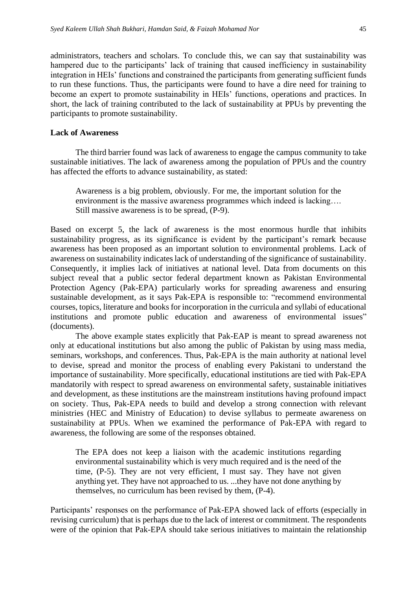administrators, teachers and scholars. To conclude this, we can say that sustainability was hampered due to the participants' lack of training that caused inefficiency in sustainability integration in HEIs' functions and constrained the participants from generating sufficient funds to run these functions. Thus, the participants were found to have a dire need for training to become an expert to promote sustainability in HEIs' functions, operations and practices. In short, the lack of training contributed to the lack of sustainability at PPUs by preventing the participants to promote sustainability.

#### **Lack of Awareness**

The third barrier found was lack of awareness to engage the campus community to take sustainable initiatives. The lack of awareness among the population of PPUs and the country has affected the efforts to advance sustainability, as stated:

Awareness is a big problem, obviously. For me, the important solution for the environment is the massive awareness programmes which indeed is lacking…. Still massive awareness is to be spread, (P-9).

Based on excerpt 5, the lack of awareness is the most enormous hurdle that inhibits sustainability progress, as its significance is evident by the participant's remark because awareness has been proposed as an important solution to environmental problems. Lack of awareness on sustainability indicates lack of understanding of the significance of sustainability. Consequently, it implies lack of initiatives at national level. Data from documents on this subject reveal that a public sector federal department known as Pakistan Environmental Protection Agency (Pak-EPA) particularly works for spreading awareness and ensuring sustainable development, as it says Pak-EPA is responsible to: "recommend environmental courses, topics, literature and books for incorporation in the curricula and syllabi of educational institutions and promote public education and awareness of environmental issues" (documents).

The above example states explicitly that Pak-EAP is meant to spread awareness not only at educational institutions but also among the public of Pakistan by using mass media, seminars, workshops, and conferences. Thus, Pak-EPA is the main authority at national level to devise, spread and monitor the process of enabling every Pakistani to understand the importance of sustainability. More specifically, educational institutions are tied with Pak-EPA mandatorily with respect to spread awareness on environmental safety, sustainable initiatives and development, as these institutions are the mainstream institutions having profound impact on society. Thus, Pak-EPA needs to build and develop a strong connection with relevant ministries (HEC and Ministry of Education) to devise syllabus to permeate awareness on sustainability at PPUs. When we examined the performance of Pak-EPA with regard to awareness, the following are some of the responses obtained.

The EPA does not keep a liaison with the academic institutions regarding environmental sustainability which is very much required and is the need of the time, (P-5). They are not very efficient, I must say. They have not given anything yet. They have not approached to us. ...they have not done anything by themselves, no curriculum has been revised by them, (P-4).

Participants' responses on the performance of Pak-EPA showed lack of efforts (especially in revising curriculum) that is perhaps due to the lack of interest or commitment. The respondents were of the opinion that Pak-EPA should take serious initiatives to maintain the relationship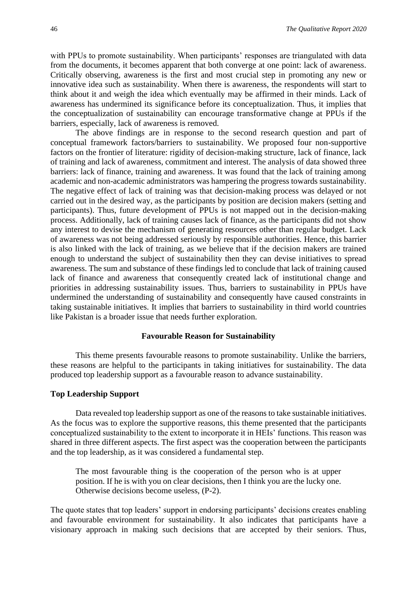with PPUs to promote sustainability. When participants' responses are triangulated with data from the documents, it becomes apparent that both converge at one point: lack of awareness. Critically observing, awareness is the first and most crucial step in promoting any new or innovative idea such as sustainability. When there is awareness, the respondents will start to think about it and weigh the idea which eventually may be affirmed in their minds. Lack of awareness has undermined its significance before its conceptualization. Thus, it implies that the conceptualization of sustainability can encourage transformative change at PPUs if the barriers, especially, lack of awareness is removed.

The above findings are in response to the second research question and part of conceptual framework factors/barriers to sustainability. We proposed four non-supportive factors on the frontier of literature: rigidity of decision-making structure, lack of finance, lack of training and lack of awareness, commitment and interest. The analysis of data showed three barriers: lack of finance, training and awareness. It was found that the lack of training among academic and non-academic administrators was hampering the progress towards sustainability. The negative effect of lack of training was that decision-making process was delayed or not carried out in the desired way, as the participants by position are decision makers (setting and participants). Thus, future development of PPUs is not mapped out in the decision-making process. Additionally, lack of training causes lack of finance, as the participants did not show any interest to devise the mechanism of generating resources other than regular budget. Lack of awareness was not being addressed seriously by responsible authorities. Hence, this barrier is also linked with the lack of training, as we believe that if the decision makers are trained enough to understand the subject of sustainability then they can devise initiatives to spread awareness. The sum and substance of these findings led to conclude that lack of training caused lack of finance and awareness that consequently created lack of institutional change and priorities in addressing sustainability issues. Thus, barriers to sustainability in PPUs have undermined the understanding of sustainability and consequently have caused constraints in taking sustainable initiatives. It implies that barriers to sustainability in third world countries like Pakistan is a broader issue that needs further exploration.

#### **Favourable Reason for Sustainability**

This theme presents favourable reasons to promote sustainability. Unlike the barriers, these reasons are helpful to the participants in taking initiatives for sustainability. The data produced top leadership support as a favourable reason to advance sustainability.

#### **Top Leadership Support**

Data revealed top leadership support as one of the reasons to take sustainable initiatives. As the focus was to explore the supportive reasons, this theme presented that the participants conceptualized sustainability to the extent to incorporate it in HEIs' functions. This reason was shared in three different aspects. The first aspect was the cooperation between the participants and the top leadership, as it was considered a fundamental step.

The most favourable thing is the cooperation of the person who is at upper position. If he is with you on clear decisions, then I think you are the lucky one. Otherwise decisions become useless, (P-2).

The quote states that top leaders' support in endorsing participants' decisions creates enabling and favourable environment for sustainability. It also indicates that participants have a visionary approach in making such decisions that are accepted by their seniors. Thus,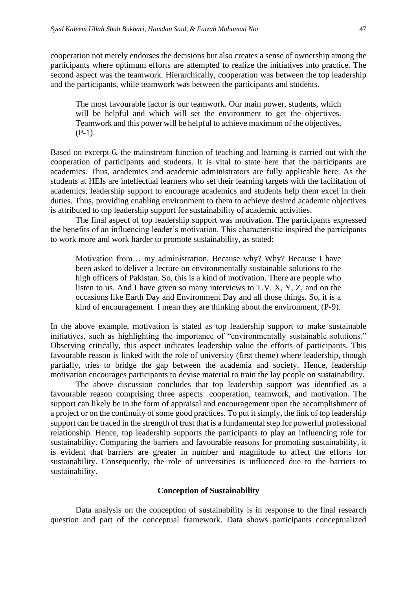cooperation not merely endorses the decisions but also creates a sense of ownership among the participants where optimum efforts are attempted to realize the initiatives into practice. The second aspect was the teamwork. Hierarchically, cooperation was between the top leadership and the participants, while teamwork was between the participants and students.

The most favourable factor is our teamwork. Our main power, students, which will be helpful and which will set the environment to get the objectives. Teamwork and this power will be helpful to achieve maximum of the objectives, (P-1).

Based on excerpt 6, the mainstream function of teaching and learning is carried out with the cooperation of participants and students. It is vital to state here that the participants are academics. Thus, academics and academic administrators are fully applicable here. As the students at HEIs are intellectual learners who set their learning targets with the facilitation of academics, leadership support to encourage academics and students help them excel in their duties. Thus, providing enabling environment to them to achieve desired academic objectives is attributed to top leadership support for sustainability of academic activities.

The final aspect of top leadership support was motivation. The participants expressed the benefits of an influencing leader's motivation. This characteristic inspired the participants to work more and work harder to promote sustainability, as stated:

Motivation from… my administration. Because why? Why? Because I have been asked to deliver a lecture on environmentally sustainable solutions to the high officers of Pakistan. So, this is a kind of motivation. There are people who listen to us. And I have given so many interviews to T.V. X, Y, Z, and on the occasions like Earth Day and Environment Day and all those things. So, it is a kind of encouragement. I mean they are thinking about the environment, (P-9).

In the above example, motivation is stated as top leadership support to make sustainable initiatives, such as highlighting the importance of "environmentally sustainable solutions." Observing critically, this aspect indicates leadership value the efforts of participants. This favourable reason is linked with the role of university (first theme) where leadership, though partially, tries to bridge the gap between the academia and society. Hence, leadership motivation encourages participants to devise material to train the lay people on sustainability.

The above discussion concludes that top leadership support was identified as a favourable reason comprising three aspects: cooperation, teamwork, and motivation. The support can likely be in the form of appraisal and encouragement upon the accomplishment of a project or on the continuity of some good practices. To put it simply, the link of top leadership support can be traced in the strength of trust that is a fundamental step for powerful professional relationship. Hence, top leadership supports the participants to play an influencing role for sustainability. Comparing the barriers and favourable reasons for promoting sustainability, it is evident that barriers are greater in number and magnitude to affect the efforts for sustainability. Consequently, the role of universities is influenced due to the barriers to sustainability.

#### **Conception of Sustainability**

Data analysis on the conception of sustainability is in response to the final research question and part of the conceptual framework. Data shows participants conceptualized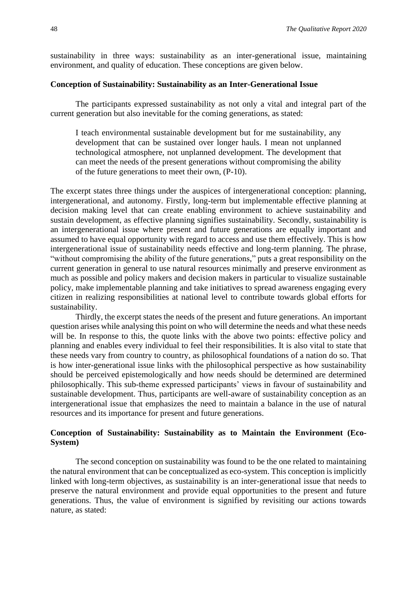sustainability in three ways: sustainability as an inter-generational issue, maintaining environment, and quality of education. These conceptions are given below.

#### **Conception of Sustainability: Sustainability as an Inter-Generational Issue**

The participants expressed sustainability as not only a vital and integral part of the current generation but also inevitable for the coming generations, as stated:

I teach environmental sustainable development but for me sustainability, any development that can be sustained over longer hauls. I mean not unplanned technological atmosphere, not unplanned development. The development that can meet the needs of the present generations without compromising the ability of the future generations to meet their own, (P-10).

The excerpt states three things under the auspices of intergenerational conception: planning, intergenerational, and autonomy. Firstly, long-term but implementable effective planning at decision making level that can create enabling environment to achieve sustainability and sustain development, as effective planning signifies sustainability. Secondly, sustainability is an intergenerational issue where present and future generations are equally important and assumed to have equal opportunity with regard to access and use them effectively. This is how intergenerational issue of sustainability needs effective and long-term planning. The phrase*,*  "without compromising the ability of the future generations," puts a great responsibility on the current generation in general to use natural resources minimally and preserve environment as much as possible and policy makers and decision makers in particular to visualize sustainable policy, make implementable planning and take initiatives to spread awareness engaging every citizen in realizing responsibilities at national level to contribute towards global efforts for sustainability.

Thirdly, the excerpt states the needs of the present and future generations. An important question arises while analysing this point on who will determine the needs and what these needs will be. In response to this, the quote links with the above two points: effective policy and planning and enables every individual to feel their responsibilities. It is also vital to state that these needs vary from country to country, as philosophical foundations of a nation do so. That is how inter-generational issue links with the philosophical perspective as how sustainability should be perceived epistemologically and how needs should be determined are determined philosophically. This sub-theme expressed participants' views in favour of sustainability and sustainable development. Thus, participants are well-aware of sustainability conception as an intergenerational issue that emphasizes the need to maintain a balance in the use of natural resources and its importance for present and future generations.

#### **Conception of Sustainability: Sustainability as to Maintain the Environment (Eco-System)**

The second conception on sustainability was found to be the one related to maintaining the natural environment that can be conceptualized as eco-system. This conception is implicitly linked with long-term objectives, as sustainability is an inter-generational issue that needs to preserve the natural environment and provide equal opportunities to the present and future generations. Thus, the value of environment is signified by revisiting our actions towards nature, as stated: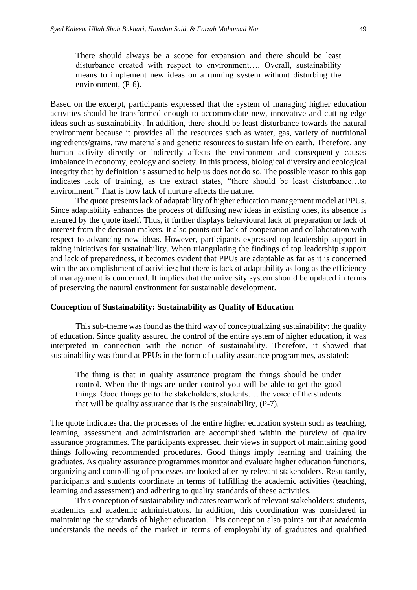There should always be a scope for expansion and there should be least disturbance created with respect to environment…. Overall, sustainability means to implement new ideas on a running system without disturbing the environment, (P-6).

Based on the excerpt, participants expressed that the system of managing higher education activities should be transformed enough to accommodate new, innovative and cutting-edge ideas such as sustainability. In addition, there should be least disturbance towards the natural environment because it provides all the resources such as water, gas, variety of nutritional ingredients/grains, raw materials and genetic resources to sustain life on earth. Therefore, any human activity directly or indirectly affects the environment and consequently causes imbalance in economy, ecology and society. In this process, biological diversity and ecological integrity that by definition is assumed to help us does not do so. The possible reason to this gap indicates lack of training, as the extract states, "there should be least disturbance…to environment." That is how lack of nurture affects the nature.

The quote presents lack of adaptability of higher education management model at PPUs. Since adaptability enhances the process of diffusing new ideas in existing ones, its absence is ensured by the quote itself. Thus, it further displays behavioural lack of preparation or lack of interest from the decision makers. It also points out lack of cooperation and collaboration with respect to advancing new ideas. However, participants expressed top leadership support in taking initiatives for sustainability. When triangulating the findings of top leadership support and lack of preparedness, it becomes evident that PPUs are adaptable as far as it is concerned with the accomplishment of activities; but there is lack of adaptability as long as the efficiency of management is concerned. It implies that the university system should be updated in terms of preserving the natural environment for sustainable development.

#### **Conception of Sustainability: Sustainability as Quality of Education**

This sub-theme was found as the third way of conceptualizing sustainability: the quality of education. Since quality assured the control of the entire system of higher education, it was interpreted in connection with the notion of sustainability. Therefore, it showed that sustainability was found at PPUs in the form of quality assurance programmes, as stated:

The thing is that in quality assurance program the things should be under control. When the things are under control you will be able to get the good things. Good things go to the stakeholders, students…. the voice of the students that will be quality assurance that is the sustainability, (P-7).

The quote indicates that the processes of the entire higher education system such as teaching, learning, assessment and administration are accomplished within the purview of quality assurance programmes. The participants expressed their views in support of maintaining good things following recommended procedures. Good things imply learning and training the graduates. As quality assurance programmes monitor and evaluate higher education functions, organizing and controlling of processes are looked after by relevant stakeholders. Resultantly, participants and students coordinate in terms of fulfilling the academic activities (teaching, learning and assessment) and adhering to quality standards of these activities.

This conception of sustainability indicates teamwork of relevant stakeholders: students, academics and academic administrators. In addition, this coordination was considered in maintaining the standards of higher education. This conception also points out that academia understands the needs of the market in terms of employability of graduates and qualified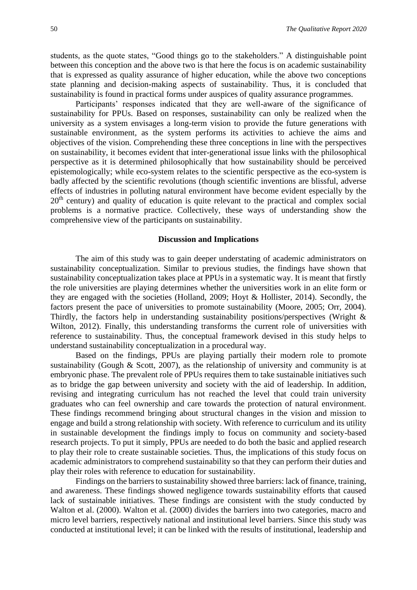students, as the quote states, "Good things go to the stakeholders." A distinguishable point between this conception and the above two is that here the focus is on academic sustainability that is expressed as quality assurance of higher education, while the above two conceptions state planning and decision-making aspects of sustainability. Thus, it is concluded that sustainability is found in practical forms under auspices of quality assurance programmes.

Participants' responses indicated that they are well-aware of the significance of sustainability for PPUs. Based on responses, sustainability can only be realized when the university as a system envisages a long-term vision to provide the future generations with sustainable environment, as the system performs its activities to achieve the aims and objectives of the vision. Comprehending these three conceptions in line with the perspectives on sustainability, it becomes evident that inter-generational issue links with the philosophical perspective as it is determined philosophically that how sustainability should be perceived epistemologically; while eco-system relates to the scientific perspective as the eco-system is badly affected by the scientific revolutions (though scientific inventions are blissful, adverse effects of industries in polluting natural environment have become evident especially by the 20<sup>th</sup> century) and quality of education is quite relevant to the practical and complex social problems is a normative practice. Collectively, these ways of understanding show the comprehensive view of the participants on sustainability.

#### **Discussion and Implications**

The aim of this study was to gain deeper understating of academic administrators on sustainability conceptualization. Similar to previous studies, the findings have shown that sustainability conceptualization takes place at PPUs in a systematic way. It is meant that firstly the role universities are playing determines whether the universities work in an elite form or they are engaged with the societies (Holland, 2009; Hoyt & Hollister, 2014). Secondly, the factors present the pace of universities to promote sustainability (Moore, 2005; Orr, 2004). Thirdly, the factors help in understanding sustainability positions/perspectives (Wright & Wilton, 2012). Finally, this understanding transforms the current role of universities with reference to sustainability. Thus, the conceptual framework devised in this study helps to understand sustainability conceptualization in a procedural way.

Based on the findings, PPUs are playing partially their modern role to promote sustainability (Gough & Scott, 2007), as the relationship of university and community is at embryonic phase. The prevalent role of PPUs requires them to take sustainable initiatives such as to bridge the gap between university and society with the aid of leadership. In addition, revising and integrating curriculum has not reached the level that could train university graduates who can feel ownership and care towards the protection of natural environment. These findings recommend bringing about structural changes in the vision and mission to engage and build a strong relationship with society. With reference to curriculum and its utility in sustainable development the findings imply to focus on community and society-based research projects. To put it simply, PPUs are needed to do both the basic and applied research to play their role to create sustainable societies. Thus, the implications of this study focus on academic administrators to comprehend sustainability so that they can perform their duties and play their roles with reference to education for sustainability.

Findings on the barriers to sustainability showed three barriers: lack of finance, training, and awareness. These findings showed negligence towards sustainability efforts that caused lack of sustainable initiatives. These findings are consistent with the study conducted by Walton et al. (2000). Walton et al. (2000) divides the barriers into two categories, macro and micro level barriers, respectively national and institutional level barriers. Since this study was conducted at institutional level; it can be linked with the results of institutional, leadership and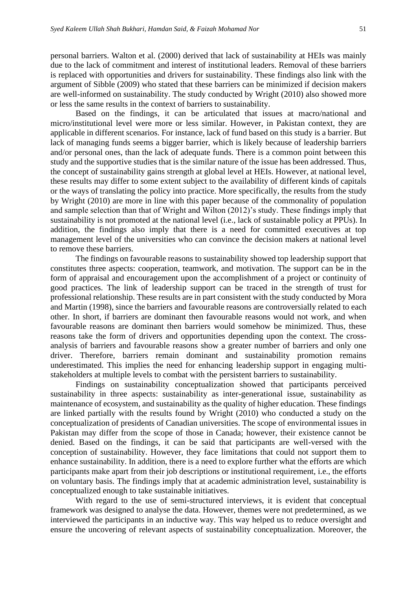personal barriers. Walton et al. (2000) derived that lack of sustainability at HEIs was mainly due to the lack of commitment and interest of institutional leaders. Removal of these barriers is replaced with opportunities and drivers for sustainability. These findings also link with the argument of Sibble (2009) who stated that these barriers can be minimized if decision makers are well-informed on sustainability. The study conducted by Wright (2010) also showed more or less the same results in the context of barriers to sustainability.

Based on the findings, it can be articulated that issues at macro/national and micro/institutional level were more or less similar. However, in Pakistan context, they are applicable in different scenarios. For instance, lack of fund based on this study is a barrier. But lack of managing funds seems a bigger barrier, which is likely because of leadership barriers and/or personal ones, than the lack of adequate funds. There is a common point between this study and the supportive studies that is the similar nature of the issue has been addressed. Thus, the concept of sustainability gains strength at global level at HEIs. However, at national level, these results may differ to some extent subject to the availability of different kinds of capitals or the ways of translating the policy into practice. More specifically, the results from the study by Wright (2010) are more in line with this paper because of the commonality of population and sample selection than that of Wright and Wilton (2012)'s study. These findings imply that sustainability is not promoted at the national level (i.e., lack of sustainable policy at PPUs). In addition, the findings also imply that there is a need for committed executives at top management level of the universities who can convince the decision makers at national level to remove these barriers.

The findings on favourable reasons to sustainability showed top leadership support that constitutes three aspects: cooperation, teamwork, and motivation. The support can be in the form of appraisal and encouragement upon the accomplishment of a project or continuity of good practices. The link of leadership support can be traced in the strength of trust for professional relationship. These results are in part consistent with the study conducted by Mora and Martin (1998), since the barriers and favourable reasons are controversially related to each other. In short, if barriers are dominant then favourable reasons would not work, and when favourable reasons are dominant then barriers would somehow be minimized. Thus, these reasons take the form of drivers and opportunities depending upon the context. The crossanalysis of barriers and favourable reasons show a greater number of barriers and only one driver. Therefore, barriers remain dominant and sustainability promotion remains underestimated. This implies the need for enhancing leadership support in engaging multistakeholders at multiple levels to combat with the persistent barriers to sustainability.

Findings on sustainability conceptualization showed that participants perceived sustainability in three aspects: sustainability as inter-generational issue, sustainability as maintenance of ecosystem, and sustainability as the quality of higher education. These findings are linked partially with the results found by Wright (2010) who conducted a study on the conceptualization of presidents of Canadian universities. The scope of environmental issues in Pakistan may differ from the scope of those in Canada; however, their existence cannot be denied. Based on the findings, it can be said that participants are well-versed with the conception of sustainability. However, they face limitations that could not support them to enhance sustainability. In addition, there is a need to explore further what the efforts are which participants make apart from their job descriptions or institutional requirement, i.e., the efforts on voluntary basis. The findings imply that at academic administration level, sustainability is conceptualized enough to take sustainable initiatives.

With regard to the use of semi-structured interviews, it is evident that conceptual framework was designed to analyse the data. However, themes were not predetermined, as we interviewed the participants in an inductive way. This way helped us to reduce oversight and ensure the uncovering of relevant aspects of sustainability conceptualization. Moreover, the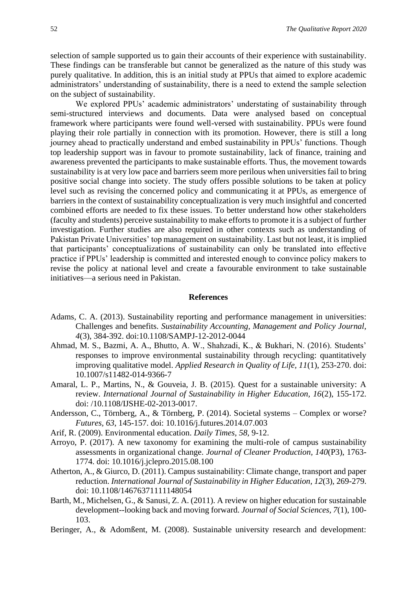selection of sample supported us to gain their accounts of their experience with sustainability. These findings can be transferable but cannot be generalized as the nature of this study was purely qualitative. In addition, this is an initial study at PPUs that aimed to explore academic administrators' understanding of sustainability, there is a need to extend the sample selection on the subject of sustainability.

We explored PPUs' academic administrators' understating of sustainability through semi-structured interviews and documents. Data were analysed based on conceptual framework where participants were found well-versed with sustainability. PPUs were found playing their role partially in connection with its promotion. However, there is still a long journey ahead to practically understand and embed sustainability in PPUs' functions. Though top leadership support was in favour to promote sustainability, lack of finance, training and awareness prevented the participants to make sustainable efforts. Thus, the movement towards sustainability is at very low pace and barriers seem more perilous when universities fail to bring positive social change into society. The study offers possible solutions to be taken at policy level such as revising the concerned policy and communicating it at PPUs, as emergence of barriers in the context of sustainability conceptualization is very much insightful and concerted combined efforts are needed to fix these issues. To better understand how other stakeholders (faculty and students) perceive sustainability to make efforts to promote it is a subject of further investigation. Further studies are also required in other contexts such as understanding of Pakistan Private Universities' top management on sustainability. Last but not least, it is implied that participants' conceptualizations of sustainability can only be translated into effective practice if PPUs' leadership is committed and interested enough to convince policy makers to revise the policy at national level and create a favourable environment to take sustainable initiatives—a serious need in Pakistan.

#### **References**

- Adams, C. A. (2013). Sustainability reporting and performance management in universities: Challenges and benefits. *Sustainability Accounting, Management and Policy Journal, 4*(3), 384-392. doi:10.1108/SAMPJ-12-2012-0044
- Ahmad, M. S., Bazmi, A. A., Bhutto, A. W., Shahzadi, K., & Bukhari, N. (2016). Students' responses to improve environmental sustainability through recycling: quantitatively improving qualitative model. *Applied Research in Quality of Life, 11*(1), 253-270. doi: 10.1007/s11482-014-9366-7
- Amaral, L. P., Martins, N., & Gouveia, J. B. (2015). Quest for a sustainable university: A review. *International Journal of Sustainability in Higher Education, 16*(2), 155-172. doi: /10.1108/IJSHE-02-2013-0017.
- Andersson, C., Törnberg, A., & Törnberg, P. (2014). Societal systems Complex or worse? *Futures, 63*, 145-157. doi: 10.1016/j.futures.2014.07.003
- Arif, R. (2009). Environmental education. *Daily Times, 58,* 9-12.
- Arroyo, P. (2017). A new taxonomy for examining the multi-role of campus sustainability assessments in organizational change. *Journal of Cleaner Production, 140*(P3), 1763- 1774. doi: 10.1016/j.jclepro.2015.08.100
- Atherton, A., & Giurco, D. (2011). Campus sustainability: Climate change, transport and paper reduction. *International Journal of Sustainability in Higher Education, 12*(3), 269-279. doi: 10.1108/14676371111148054
- Barth, M., Michelsen, G., & Sanusi, Z. A. (2011). A review on higher education for sustainable development--looking back and moving forward. *Journal of Social Sciences, 7*(1), 100- 103.
- Beringer, A., & Adomßent, M. (2008). Sustainable university research and development: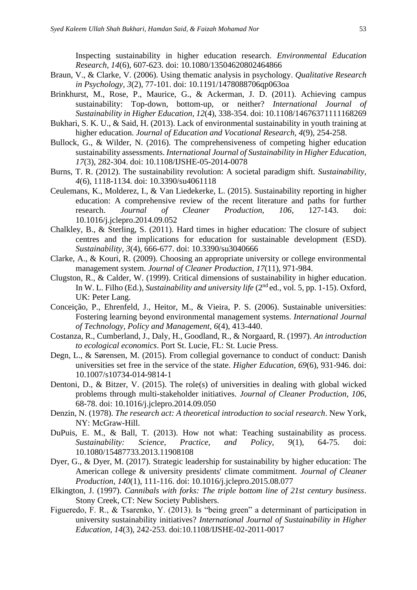Inspecting sustainability in higher education research. *Environmental Education Research, 14*(6), 607-623. doi: 10.1080/13504620802464866

- Braun, V., & Clarke, V. (2006). Using thematic analysis in psychology. *Qualitative Research in Psychology, 3*(2), 77-101. doi: 10.1191/1478088706qp063oa
- Brinkhurst, M., Rose, P., Maurice, G., & Ackerman, J. D. (2011). Achieving campus sustainability: Top-down, bottom-up, or neither? *International Journal of Sustainability in Higher Education, 12*(4), 338-354. doi: 10.1108/14676371111168269
- Bukhari, S. K. U., & Said, H. (2013). Lack of environmental sustainability in youth training at higher education. *Journal of Education and Vocational Research, 4*(9), 254-258.
- Bullock, G., & Wilder, N. (2016). The comprehensiveness of competing higher education sustainability assessments. *International Journal of Sustainability in Higher Education, 17*(3), 282-304. doi: 10.1108/IJSHE-05-2014-0078
- Burns, T. R. (2012). The sustainability revolution: A societal paradigm shift. *Sustainability, 4*(6), 1118-1134. doi: 10.3390/su4061118
- Ceulemans, K., Molderez, I., & Van Liedekerke, L. (2015). Sustainability reporting in higher education: A comprehensive review of the recent literature and paths for further research. *Journal of Cleaner Production, 106*, 127-143. doi: 10.1016/j.jclepro.2014.09.052
- Chalkley, B., & Sterling, S. (2011). Hard times in higher education: The closure of subject centres and the implications for education for sustainable development (ESD). *Sustainability, 3*(4), 666-677. doi: 10.3390/su3040666
- Clarke, A., & Kouri, R. (2009). Choosing an appropriate university or college environmental management system. *Journal of Cleaner Production, 17*(11), 971-984.
- Clugston, R., & Calder, W. (1999). Critical dimensions of sustainability in higher education. In W. L. Filho (Ed.), *Sustainability and university life* (2<sup>nd</sup> ed., vol. 5, pp. 1-15). Oxford, UK: Peter Lang.
- Conceição, P., Ehrenfeld, J., Heitor, M., & Vieira, P. S. (2006). Sustainable universities: Fostering learning beyond environmental management systems. *International Journal of Technology, Policy and Management, 6*(4), 413-440.
- Costanza, R., Cumberland, J., Daly, H., Goodland, R., & Norgaard, R. (1997). *An introduction to ecological economics*. Port St. Lucie, FL: St. Lucie Press.
- Degn, L., & Sørensen, M. (2015). From collegial governance to conduct of conduct: Danish universities set free in the service of the state. *Higher Education, 69*(6), 931-946. doi: 10.1007/s10734-014-9814-1
- Dentoni, D., & Bitzer, V. (2015). The role(s) of universities in dealing with global wicked problems through multi-stakeholder initiatives. *Journal of Cleaner Production, 106*, 68-78. doi: 10.1016/j.jclepro.2014.09.050
- Denzin, N. (1978). *The research act: A theoretical introduction to social research*. New York, NY: McGraw-Hill.
- DuPuis, E. M., & Ball, T. (2013). How not what: Teaching sustainability as process. *Sustainability: Science, Practice, and Policy, 9*(1), 64-75. doi: 10.1080/15487733.2013.11908108
- Dyer, G., & Dyer, M. (2017). Strategic leadership for sustainability by higher education: The American college & university presidents' climate commitment. *Journal of Cleaner Production, 140*(1), 111-116. doi: 10.1016/j.jclepro.2015.08.077
- Elkington, J. (1997). *Cannibals with forks: The triple bottom line of 21st century business*. Stony Creek, CT: New Society Publishers.
- Figueredo, F. R., & Tsarenko, Y. (2013). Is "being green" a determinant of participation in university sustainability initiatives? *International Journal of Sustainability in Higher Education, 14*(3), 242-253. doi:10.1108/IJSHE-02-2011-0017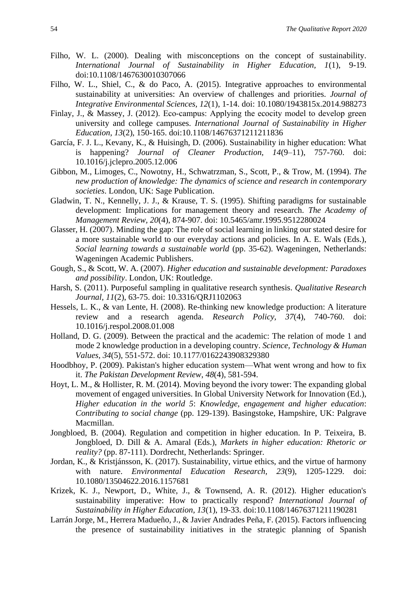- Filho, W. L. (2000). Dealing with misconceptions on the concept of sustainability. *International Journal of Sustainability in Higher Education, 1*(1), 9-19. doi:10.1108/1467630010307066
- Filho, W. L., Shiel, C., & do Paco, A. (2015). Integrative approaches to environmental sustainability at universities: An overview of challenges and priorities. *Journal of Integrative Environmental Sciences, 12*(1), 1-14. doi: 10.1080/1943815x.2014.988273
- Finlay, J., & Massey, J. (2012). Eco-campus: Applying the ecocity model to develop green university and college campuses. *International Journal of Sustainability in Higher Education, 13*(2), 150-165. doi:10.1108/14676371211211836
- García, F. J. L., Kevany, K., & Huisingh, D. (2006). Sustainability in higher education: What is happening? *Journal of Cleaner Production, 14*(9–11), 757-760. doi: 10.1016/j.jclepro.2005.12.006
- Gibbon, M., Limoges, C., Nowotny, H., Schwatrzman, S., Scott, P., & Trow, M. (1994). *The new production of knowledge: The dynamics of science and research in contemporary societies*. London, UK: Sage Publication.
- Gladwin, T. N., Kennelly, J. J., & Krause, T. S. (1995). Shifting paradigms for sustainable development: Implications for management theory and research. *The Academy of Management Review, 20*(4), 874-907. doi: 10.5465/amr.1995.9512280024
- Glasser, H. (2007). Minding the gap: The role of social learning in linking our stated desire for a more sustainable world to our everyday actions and policies. In A. E. Wals (Eds.), *Social learning towards a sustainable world* (pp. 35-62). Wageningen, Netherlands: Wageningen Academic Publishers.
- Gough, S., & Scott, W. A. (2007). *Higher education and sustainable development: Paradoxes and possibility*. London, UK: Routledge.
- Harsh, S. (2011). Purposeful sampling in qualitative research synthesis. *Qualitative Research Journal, 11*(2), 63-75. doi: 10.3316/QRJ1102063
- Hessels, L. K., & van Lente, H. (2008). Re-thinking new knowledge production: A literature review and a research agenda. *Research Policy, 37*(4), 740-760. doi: 10.1016/j.respol.2008.01.008
- Holland, D. G. (2009). Between the practical and the academic: The relation of mode 1 and mode 2 knowledge production in a developing country. *Science, Technology & Human Values, 34*(5), 551-572. doi: 10.1177/0162243908329380
- Hoodbhoy, P. (2009). Pakistan's higher education system—What went wrong and how to fix it. *The Pakistan Development Review*, *48*(4), 581-594.
- Hoyt, L. M., & Hollister, R. M. (2014). Moving beyond the ivory tower: The expanding global movement of engaged universities. In Global University Network for Innovation (Ed.), *Higher education in the world 5*: *Knowledge, engagement and higher education*: *Contributing to social change* (pp. 129-139). Basingstoke, Hampshire, UK: Palgrave Macmillan.
- Jongbloed, B. (2004). Regulation and competition in higher education. In P. Teixeira, B. Jongbloed, D. Dill & A. Amaral (Eds.), *Markets in higher education: Rhetoric or reality?* (pp. 87-111). Dordrecht, Netherlands: Springer.
- Jordan, K., & Kristjánsson, K. (2017). Sustainability, virtue ethics, and the virtue of harmony with nature. *Environmental Education Research, 23*(9), 1205-1229. doi: 10.1080/13504622.2016.1157681
- Krizek, K. J., Newport, D., White, J., & Townsend, A. R. (2012). Higher education's sustainability imperative: How to practically respond? *International Journal of Sustainability in Higher Education, 13*(1), 19-33. doi:10.1108/14676371211190281
- Larrán Jorge, M., Herrera Madueño, J., & Javier Andrades Peña, F. (2015). Factors influencing the presence of sustainability initiatives in the strategic planning of Spanish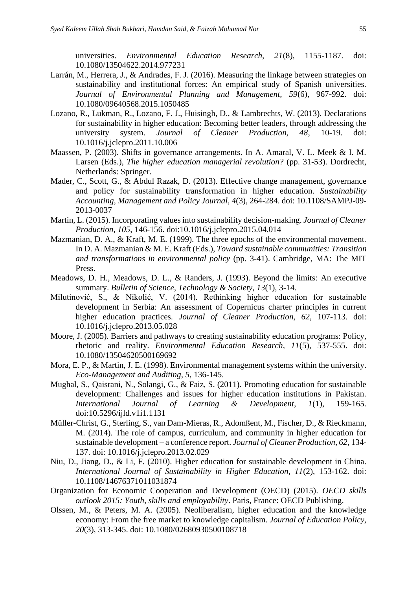universities. *Environmental Education Research, 21*(8), 1155-1187. doi: 10.1080/13504622.2014.977231

- Larrán, M., Herrera, J., & Andrades, F. J. (2016). Measuring the linkage between strategies on sustainability and institutional forces: An empirical study of Spanish universities. *Journal of Environmental Planning and Management, 59*(6), 967-992. doi: 10.1080/09640568.2015.1050485
- Lozano, R., Lukman, R., Lozano, F. J., Huisingh, D., & Lambrechts, W. (2013). Declarations for sustainability in higher education: Becoming better leaders, through addressing the university system. *Journal of Cleaner Production, 48*, 10-19. doi: 10.1016/j.jclepro.2011.10.006
- Maassen, P. (2003). Shifts in governance arrangements. In A. Amaral, V. L. Meek & I. M. Larsen (Eds.), *The higher education managerial revolution?* (pp. 31-53). Dordrecht, Netherlands: Springer.
- Mader, C., Scott, G., & Abdul Razak, D. (2013). Effective change management, governance and policy for sustainability transformation in higher education. *Sustainability Accounting, Management and Policy Journal, 4*(3), 264-284. doi: 10.1108/SAMPJ-09- 2013-0037
- Martin, L. (2015). Incorporating values into sustainability decision-making. *Journal of Cleaner Production, 105*, 146-156. doi:10.1016/j.jclepro.2015.04.014
- Mazmanian, D. A., & Kraft, M. E. (1999). The three epochs of the environmental movement*.*  In D. A. Mazmanian & M. E. Kraft (Eds.), *Toward sustainable communities: Transition and transformations in environmental policy* (pp. 3-41). Cambridge, MA: The MIT Press.
- Meadows, D. H., Meadows, D. L., & Randers, J. (1993). Beyond the limits: An executive summary. *Bulletin of Science, Technology & Society, 13*(1), 3-14.
- Milutinović, S., & Nikolić, V. (2014). Rethinking higher education for sustainable development in Serbia: An assessment of Copernicus charter principles in current higher education practices. *Journal of Cleaner Production, 62*, 107-113. doi: 10.1016/j.jclepro.2013.05.028
- Moore, J. (2005). Barriers and pathways to creating sustainability education programs: Policy, rhetoric and reality. *Environmental Education Research, 11*(5), 537-555. doi: 10.1080/13504620500169692
- Mora, E. P., & Martin, J. E. (1998). Environmental management systems within the university. *Eco-Management and Auditing, 5*, 136-145.
- Mughal, S., Qaisrani, N., Solangi, G., & Faiz, S. (2011). Promoting education for sustainable development: Challenges and issues for higher education institutions in Pakistan. *International Journal of Learning & Development, 1*(1), 159-165. doi:10.5296/ijld.v1i1.1131
- Müller-Christ, G., Sterling, S., van Dam-Mieras, R., Adomßent, M., Fischer, D., & Rieckmann, M. (2014). The role of campus, curriculum, and community in higher education for sustainable development – a conference report. *Journal of Cleaner Production, 62*, 134- 137. doi: 10.1016/j.jclepro.2013.02.029
- Niu, D., Jiang, D., & Li, F. (2010). Higher education for sustainable development in China. *International Journal of Sustainability in Higher Education, 11*(2), 153-162. doi: 10.1108/14676371011031874
- Organization for Economic Cooperation and Development (OECD) (2015). *OECD skills outlook 2015: Youth, skills and employability*. Paris, France: OECD Publishing.
- Olssen, M., & Peters, M. A. (2005). Neoliberalism, higher education and the knowledge economy: From the free market to knowledge capitalism. *Journal of Education Policy, 20*(3), 313-345. doi: 10.1080/02680930500108718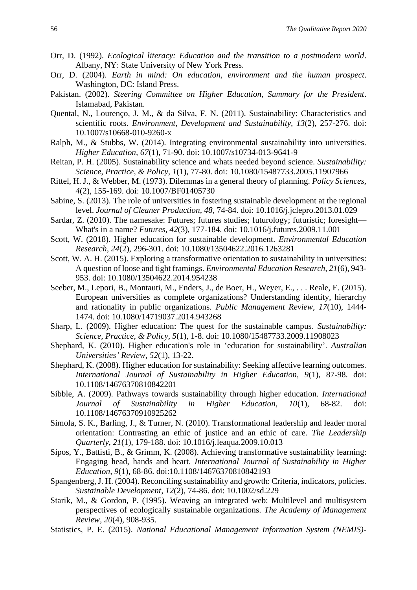- Orr, D. (1992). *Ecological literacy: Education and the transition to a postmodern world*. Albany, NY: State University of New York Press.
- Orr, D. (2004). *Earth in mind: On education, environment and the human prospect*. Washington, DC: Island Press.
- Pakistan. (2002). *Steering Committee on Higher Education, Summary for the President*. Islamabad, Pakistan.
- Quental, N., Lourenço, J. M., & da Silva, F. N. (2011). Sustainability: Characteristics and scientific roots. *Environment, Development and Sustainability, 13*(2), 257-276. doi: 10.1007/s10668-010-9260-x
- Ralph, M., & Stubbs, W. (2014). Integrating environmental sustainability into universities. *Higher Education, 67*(1), 71-90. doi: 10.1007/s10734-013-9641-9
- Reitan, P. H. (2005). Sustainability science and whats needed beyond science. *Sustainability: Science, Practice, & Policy, 1*(1), 77-80. doi*:* 10.1080/15487733.2005.11907966
- Rittel, H. J., & Webber, M. (1973). Dilemmas in a general theory of planning. *Policy Sciences, 4*(2), 155-169. doi: 10.1007/BF01405730
- Sabine, S. (2013). The role of universities in fostering sustainable development at the regional level. *Journal of Cleaner Production, 48*, 74-84. doi: 10.1016/j.jclepro.2013.01.029
- Sardar, Z. (2010). The namesake: Futures; futures studies; futurology; futuristic; foresight— What's in a name? *Futures, 42*(3), 177-184. doi: 10.1016/j.futures.2009.11.001
- Scott, W. (2018). Higher education for sustainable development. *Environmental Education Research*, *24*(2), 296-301. doi: 10.1080/13504622.2016.1263281
- Scott, W. A. H. (2015). Exploring a transformative orientation to sustainability in universities: A question of loose and tight framings. *Environmental Education Research, 21*(6), 943- 953. doi: 10.1080/13504622.2014.954238
- Seeber, M., Lepori, B., Montauti, M., Enders, J., de Boer, H., Weyer, E., . . . Reale, E. (2015). European universities as complete organizations? Understanding identity, hierarchy and rationality in public organizations. *Public Management Review, 17*(10), 1444- 1474. doi: 10.1080/14719037.2014.943268
- Sharp, L. (2009). Higher education: The quest for the sustainable campus. *Sustainability: Science, Practice, & Policy, 5*(1), 1-8. doi: 10.1080/15487733.2009.11908023
- Shephard, K. (2010). Higher education's role in 'education for sustainability'. *Australian Universities' Review, 52*(1), 13-22.
- Shephard, K. (2008). Higher education for sustainability: Seeking affective learning outcomes. *International Journal of Sustainability in Higher Education, 9*(1), 87-98. doi: 10.1108/14676370810842201
- Sibble, A. (2009). Pathways towards sustainability through higher education. *International Journal of Sustainability in Higher Education, 10*(1), 68-82. doi: 10.1108/14676370910925262
- Simola, S. K., Barling, J., & Turner, N. (2010). Transformational leadership and leader moral orientation: Contrasting an ethic of justice and an ethic of care. *The Leadership Quarterly, 21*(1), 179-188. doi: 10.1016/j.leaqua.2009.10.013
- Sipos, Y., Battisti, B., & Grimm, K. (2008). Achieving transformative sustainability learning: Engaging head, hands and heart. *International Journal of Sustainability in Higher Education, 9*(1), 68-86. doi:10.1108/14676370810842193
- Spangenberg, J. H. (2004). Reconciling sustainability and growth: Criteria, indicators, policies. *Sustainable Development, 12*(2), 74-86. doi: 10.1002/sd.229
- Starik, M., & Gordon, P. (1995). Weaving an integrated web: Multilevel and multisystem perspectives of ecologically sustainable organizations. *The Academy of Management Review, 20*(4), 908-935.
- Statistics, P. E. (2015). *National Educational Management Information System (NEMIS)-*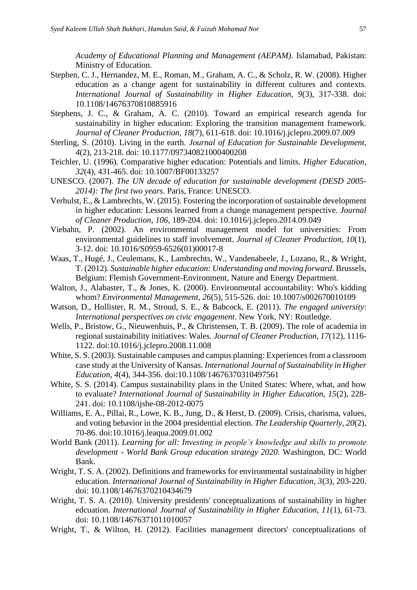*Academy of Educational Planning and Management (AEPAM)*. Islamabad, Pakistan: Ministry of Education.

- Stephen, C. J., Hernandez, M. E., Roman, M., Graham, A. C., & Scholz, R. W. (2008). Higher education as a change agent for sustainability in different cultures and contexts. *International Journal of Sustainability in Higher Education, 9*(3), 317-338. doi: 10.1108/14676370810885916
- Stephens, J. C., & Graham, A. C. (2010). Toward an empirical research agenda for sustainability in higher education: Exploring the transition management framework. *Journal of Cleaner Production, 18*(7), 611-618. doi: 10.1016/j.jclepro.2009.07.009
- Sterling, S. (2010). Living in the earth. *Journal of Education for Sustainable Development, 4*(2), 213-218. doi: 10.1177/097340821000400208
- Teichler, U. (1996). Comparative higher education: Potentials and limits. *Higher Education, 32*(4), 431-465. doi: 10.1007/BF00133257
- UNESCO. (2007). *The UN decade of education for sustainable development (DESD 2005- 2014): The first two years*. Paris, France: UNESCO.
- Verhulst, E., & Lambrechts, W. (2015). Fostering the incorporation of sustainable development in higher education: Lessons learned from a change management perspective. *Journal of Cleaner Production, 106*, 189-204. doi: 10.1016/j.jclepro.2014.09.049
- Viebahn, P. (2002). An environmental management model for universities: From environmental guidelines to staff involvement. *Journal of Cleaner Production, 10*(1), 3-12. doi: 10.1016/S0959-6526(01)00017-8
- Waas, T., Hugé, J., Ceulemans, K., Lambrechts, W., Vandenabeele, J., Lozano, R., & Wright, T. (2012). *Sustainable higher education: Understanding and moving forward*. Brussels, Belgium: Flemish Government-Environment, Nature and Energy Department.
- Walton, J., Alabaster, T., & Jones, K. (2000). Environmental accountability: Who's kidding whom? *Environmental Management, 26*(5), 515-526. doi: 10.1007/s002670010109
- Watson, D., Hollister, R. M., Stroud, S. E., & Babcock, E. (2011). *The engaged university*: *International perspectives on civic engagement*. New York, NY: Routledge.
- Wells, P., Bristow, G., Nieuwenhuis, P., & Christensen, T. B. (2009). The role of academia in regional sustainability initiatives: Wales. *Journal of Cleaner Production, 17*(12), 1116- 1122. doi:10.1016/j.jclepro.2008.11.008
- White, S. S. (2003). Sustainable campuses and campus planning: Experiences from a classroom case study at the University of Kansas. *International Journal of Sustainability in Higher Education, 4*(4), 344-356. doi:10.1108/14676370310497561
- White, S. S. (2014). Campus sustainability plans in the United States: Where, what, and how to evaluate? *International Journal of Sustainability in Higher Education, 15*(2), 228- 241. doi: 10.1108/ijshe-08-2012-0075
- Williams, E. A., Pillai, R., Lowe, K. B., Jung, D., & Herst, D. (2009). Crisis, charisma, values, and voting behavior in the 2004 presidential election. *The Leadership Quarterly, 20*(2), 70-86. doi:10.1016/j.leaqua.2009.01.002
- World Bank (2011). *Learning for all: Investing in people's knowledge and skills to promote development - World Bank Group education strategy 2020*. Washington, DC: World Bank.
- Wright, T. S. A. (2002). Definitions and frameworks for environmental sustainability in higher education. *International Journal of Sustainability in Higher Education, 3*(3), 203-220. doi: 10.1108/14676370210434679
- Wright, T. S. A. (2010). University presidents' conceptualizations of sustainability in higher edcuation. *International Journal of Sustainability in Higher Education, 11*(1), 61-73. doi: 10.1108/14676371011010057
- Wright, T., & Wilton, H. (2012). Facilities management directors' conceptualizations of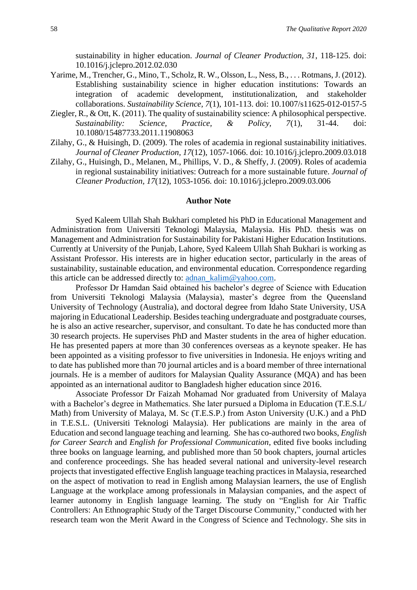sustainability in higher education. *Journal of Cleaner Production, 31*, 118-125. doi: 10.1016/j.jclepro.2012.02.030

- Yarime, M., Trencher, G., Mino, T., Scholz, R. W., Olsson, L., Ness, B., . . . Rotmans, J. (2012). Establishing sustainability science in higher education institutions: Towards an integration of academic development, institutionalization, and stakeholder collaborations. *Sustainability Science, 7*(1), 101-113. doi: 10.1007/s11625-012-0157-5
- Ziegler, R., & Ott, K. (2011). The quality of sustainability science: A philosophical perspective. *Sustainability: Science, Practice, & Policy, 7*(1), 31-44. doi: 10.1080/15487733.2011.11908063
- Zilahy, G., & Huisingh, D. (2009). The roles of academia in regional sustainability initiatives. *Journal of Cleaner Production, 17*(12), 1057-1066. doi: 10.1016/j.jclepro.2009.03.018
- Zilahy, G., Huisingh, D., Melanen, M., Phillips, V. D., & Sheffy, J. (2009). Roles of academia in regional sustainability initiatives: Outreach for a more sustainable future. *Journal of Cleaner Production, 17*(12), 1053-1056. doi: 10.1016/j.jclepro.2009.03.006

#### **Author Note**

Syed Kaleem Ullah Shah Bukhari completed his PhD in Educational Management and Administration from Universiti Teknologi Malaysia, Malaysia. His PhD. thesis was on Management and Administration for Sustainability for Pakistani Higher Education Institutions. Currently at University of the Punjab, Lahore, Syed Kaleem Ullah Shah Bukhari is working as Assistant Professor. His interests are in higher education sector, particularly in the areas of sustainability, sustainable education, and environmental education. Correspondence regarding this article can be addressed directly to: [adnan\\_kalim@yahoo.com.](mailto:adnan_kalim@yahoo.com)

Professor Dr Hamdan Said obtained his bachelor's degree of Science with Education from Universiti Teknologi Malaysia (Malaysia), master's degree from the Queensland University of Technology (Australia), and doctoral degree from Idaho State University, USA majoring in Educational Leadership. Besides teaching undergraduate and postgraduate courses, he is also an active researcher, supervisor, and consultant. To date he has conducted more than 30 research projects. He supervises PhD and Master students in the area of higher education. He has presented papers at more than 30 conferences overseas as a keynote speaker. He has been appointed as a visiting professor to five universities in Indonesia. He enjoys writing and to date has published more than 70 journal articles and is a board member of three international journals. He is a member of auditors for Malaysian Quality Assurance (MQA) and has been appointed as an international auditor to Bangladesh higher education since 2016.

Associate Professor Dr Faizah Mohamad Nor graduated from University of Malaya with a Bachelor's degree in Mathematics. She later pursued a Diploma in Education (T.E.S.L/ Math) from University of Malaya, M. Sc (T.E.S.P.) from Aston University (U.K.) and a PhD in T.E.S.L. (Universiti Teknologi Malaysia). Her publications are mainly in the area of Education and second language teaching and learning. She has co-authored two books, *English for Career Search* and *English for Professional Communication*, edited five books including three books on language learning, and published more than 50 book chapters, journal articles and conference proceedings. She has headed several national and university-level research projects that investigated effective English language teaching practices in Malaysia, researched on the aspect of motivation to read in English among Malaysian learners, the use of English Language at the workplace among professionals in Malaysian companies, and the aspect of learner autonomy in English language learning. The study on "English for Air Traffic Controllers: An Ethnographic Study of the Target Discourse Community," conducted with her research team won the Merit Award in the Congress of Science and Technology. She sits in